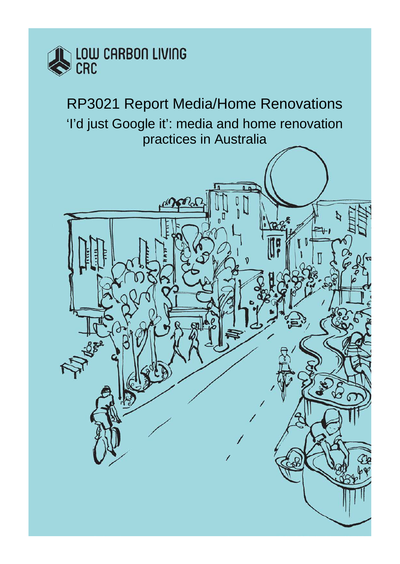

RP3021 Report Media/Home Renovations 'I'd just Google it': media and home renovation practices in Australia

<span id="page-0-0"></span>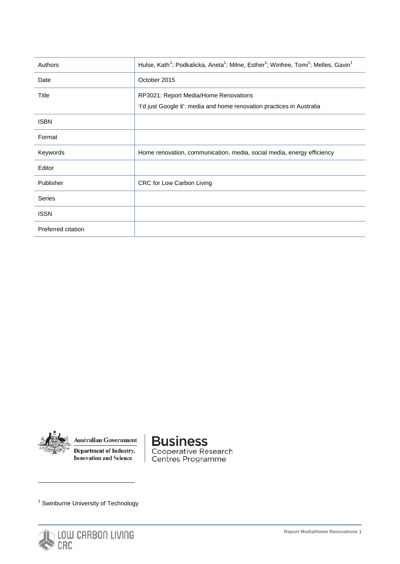<span id="page-1-0"></span>

| Authors            | Hulse, Kath <sup>1</sup> ; Podkalicka, Aneta <sup>1</sup> ; Milne, Esther <sup>1</sup> ; Winfree, Tomi <sup>1</sup> ; Melles, Gavin <sup>1</sup> |
|--------------------|--------------------------------------------------------------------------------------------------------------------------------------------------|
| Date               | October 2015                                                                                                                                     |
| Title              | RP3021: Report Media/Home Renovations<br>'I'd just Google it': media and home renovation practices in Australia                                  |
| <b>ISBN</b>        |                                                                                                                                                  |
| Format             |                                                                                                                                                  |
| Keywords           | Home renovation, communication, media, social media, energy efficiency                                                                           |
| Editor             |                                                                                                                                                  |
| Publisher          | CRC for Low Carbon Living                                                                                                                        |
| Series             |                                                                                                                                                  |
| <b>ISSN</b>        |                                                                                                                                                  |
| Preferred citation |                                                                                                                                                  |



<span id="page-1-1"></span>-

**Australian Government** Department of Industry, **Innovation and Science** 

**Business** Cooperative Research<br>Centres Programme

<sup>1</sup> Swinburne University of Technology



**Report Media/Home Renovations 1**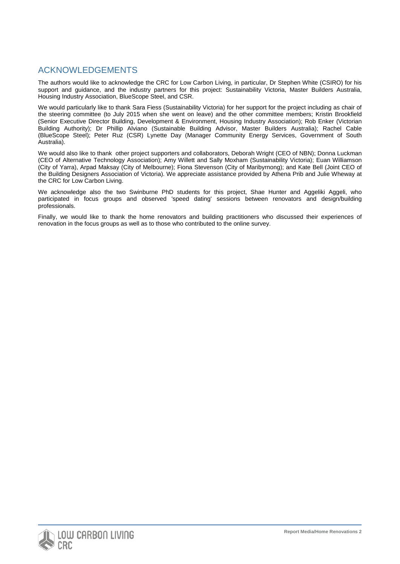# ACKNOWLEDGEMENTS

The authors would like to acknowledge the CRC for Low Carbon Living, in particular, Dr Stephen White (CSIRO) for his support and guidance, and the industry partners for this project: Sustainability Victoria, Master Builders Australia, Housing Industry Association, BlueScope Steel, and CSR.

We would particularly like to thank Sara Fiess (Sustainability Victoria) for her support for the project including as chair of the steering committee (to July 2015 when she went on leave) and the other committee members; Kristin Brookfield (Senior Executive Director Building, Development & Environment, Housing Industry Association); Rob Enker (Victorian Building Authority); Dr Phillip Alviano (Sustainable Building Advisor, Master Builders Australia); Rachel Cable (BlueScope Steel); Peter Ruz (CSR) Lynette Day (Manager Community Energy Services, Government of South Australia).

We would also like to thank other project supporters and collaborators, Deborah Wright (CEO of NBN); Donna Luckman (CEO of Alternative Technology Association); Amy Willett and Sally Moxham (Sustainability Victoria); Euan Williamson (City of Yarra), Arpad Maksay (City of Melbourne); Fiona Stevenson (City of Maribyrnong); and Kate Bell (Joint CEO of the Building Designers Association of Victoria). We appreciate assistance provided by Athena Prib and Julie Wheway at the CRC for Low Carbon Living.

We acknowledge also the two Swinburne PhD students for this project, Shae Hunter and Aggeliki Aggeli, who participated in focus groups and observed 'speed dating' sessions between renovators and design/building professionals.

Finally, we would like to thank the home renovators and building practitioners who discussed their experiences of renovation in the focus groups as well as to those who contributed to the online survey.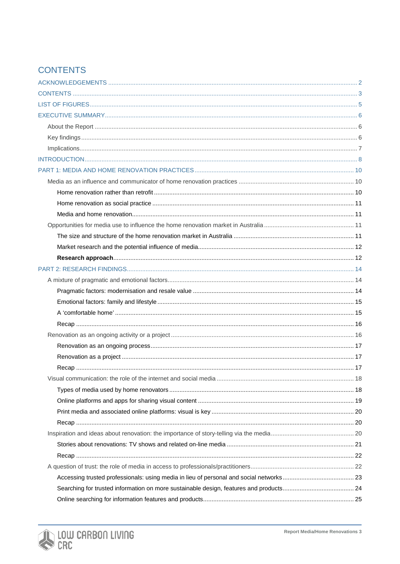# **CONTENTS**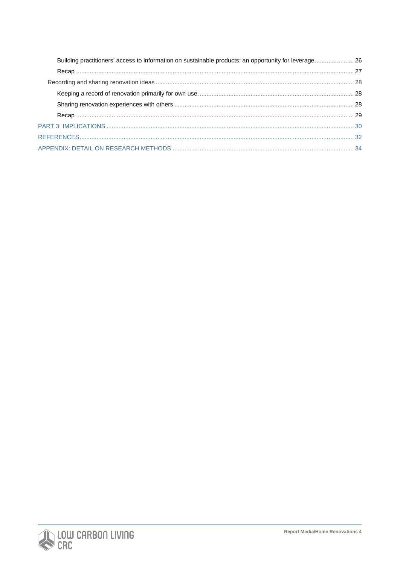| Building practitioners' access to information on sustainable products: an opportunity for leverage 26 |  |
|-------------------------------------------------------------------------------------------------------|--|
|                                                                                                       |  |
|                                                                                                       |  |
|                                                                                                       |  |
|                                                                                                       |  |
|                                                                                                       |  |
|                                                                                                       |  |
|                                                                                                       |  |
|                                                                                                       |  |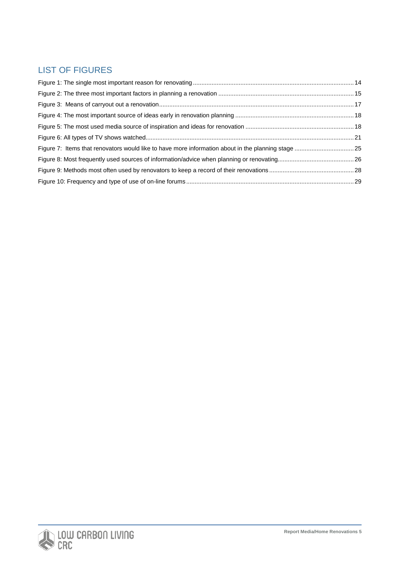# LIST OF FIGURES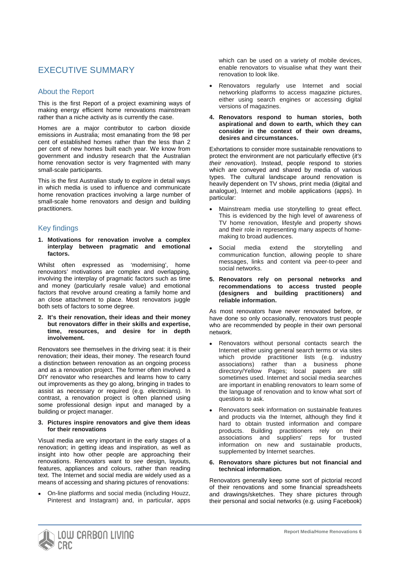# EXECUTIVE SUMMARY

## About the Report

This is the first Report of a project examining ways of making energy efficient home renovations mainstream rather than a niche activity as is currently the case.

Homes are a major contributor to carbon dioxide emissions in Australia; most emanating from the 98 per cent of established homes rather than the less than 2 per cent of new homes built each year. We know from government and industry research that the Australian home renovation sector is very fragmented with many small-scale participants.

This is the first Australian study to explore in detail ways in which media is used to influence and communicate home renovation practices involving a large number of small-scale home renovators and design and building practitioners.

# Key findings

**1. Motivations for renovation involve a complex interplay between pragmatic and emotional factors.** 

Whilst often expressed as 'modernising', home renovators' motivations are complex and overlapping, involving the interplay of pragmatic factors such as time and money (particularly resale value) and emotional factors that revolve around creating a family home and an close attachment to place. Most renovators juggle both sets of factors to some degree.

**2. It's their renovation, their ideas and their money but renovators differ in their skills and expertise, time, resources, and desire for in depth involvement.**

Renovators see themselves in the driving seat: it is their renovation; their ideas, their money. The research found a distinction between renovation as an ongoing process and as a renovation project. The former often involved a DIY renovator who researches and learns how to carry out improvements as they go along, bringing in trades to assist as necessary or required (e.g. electricians). In contrast, a renovation project is often planned using some professional design input and managed by a building or project manager.

#### **3. Pictures inspire renovators and give them ideas for their renovations**

Visual media are very important in the early stages of a renovation; in getting ideas and inspiration, as well as insight into how other people are approaching their renovations. Renovators want to *see* design, layouts, features, appliances and colours, rather than reading text. The Internet and social media are widely used as a means of accessing and sharing pictures of renovations:

• On-line platforms and social media (including Houzz, Pinterest and Instagram) and, in particular, apps which can be used on a variety of mobile devices, enable renovators to visualise what they want their renovation to look like.

- Renovators regularly use Internet and social networking platforms to access magazine pictures, either using search engines or accessing digital versions of magazines.
- **4. Renovators respond to human stories, both aspirational and down to earth, which they can consider in the context of their own dreams, desires and circumstances.**

Exhortations to consider more sustainable renovations to protect the environment are not particularly effective (*it's their renovation*). Instead, people respond to stories which are conveyed and shared by media of various types. The cultural landscape around renovation is heavily dependent on TV shows, print media (digital and analogue), Internet and mobile applications (apps). In particular:

- Mainstream media use storytelling to great effect. This is evidenced by the high level of awareness of TV home renovation, lifestyle and property shows and their role in representing many aspects of homemaking to broad audiences.
- Social media extend the storytelling and communication function, allowing people to share messages, links and content via peer-to-peer and social networks.
- **5. Renovators rely on personal networks and recommendations to access trusted people (designers and building practitioners) and reliable information.**

As most renovators have never renovated before, or have done so only occasionally, renovators trust people who are recommended by people in their own personal network.

- Renovators without personal contacts search the Internet either using general search terms or via sites which provide practitioner lists (e.g. industry associations) rather than a business phone directory/Yellow Pages; local papers are still sometimes used. Internet and social media searches are important in enabling renovators to learn some of the language of renovation and to know what sort of questions to ask.
- Renovators seek information on sustainable features and products via the Internet, although they find it hard to obtain trusted information and compare products. Building practitioners rely on their associations and suppliers' reps for trusted information on new and sustainable products, supplemented by Internet searches.

#### **6. Renovators share pictures but not financial and technical information.**

Renovators generally keep some sort of pictorial record of their renovations and some financial spreadsheets and drawings/sketches. They share pictures through their personal and social networks (e.g. using Facebook)

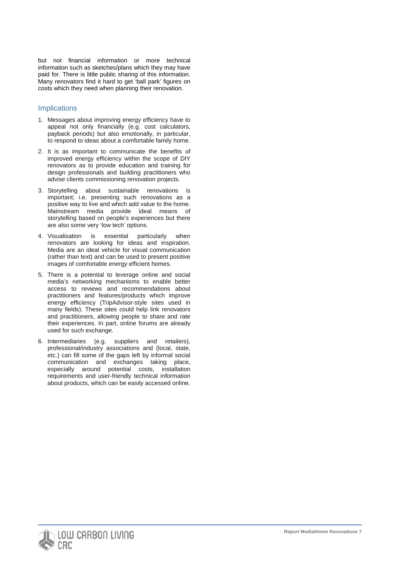but not financial information or more technical information such as sketches/plans which they may have paid for. There is little public sharing of this information. Many renovators find it hard to get 'ball park' figures on costs which they need when planning their renovation.

## **Implications**

- 1. Messages about improving energy efficiency have to appeal not only financially (e.g. cost calculators, payback periods) but also emotionally, in particular, to respond to ideas about a comfortable family home.
- 2. It is as important to communicate the benefits of improved energy efficiency within the scope of DIY renovators as to provide education and training for design professionals and building practitioners who advise clients commissioning renovation projects.
- 3. Storytelling about sustainable renovations is important; i.e. presenting such renovations as a positive way to live and which add value to the home. Mainstream media provide ideal means of storytelling based on people's experiences but there are also some very 'low tech' options.
- 4. Visualisation is essential particularly when renovators are looking for ideas and inspiration. Media are an ideal vehicle for visual communication (rather than text) and can be used to present positive images of comfortable energy efficient homes.
- 5. There is a potential to leverage online and social media's networking mechanisms to enable better access to reviews and recommendations about practitioners and features/products which improve energy efficiency (TripAdvisor-style sites used in many fields). These sites could help link renovators and practitioners, allowing people to share and rate their experiences. In part, online forums are already used for such exchange.
- 6. Intermediaries (e.g. suppliers and retailers), professional/industry associations and (local, state, etc.) can fill some of the gaps left by informal social communication and exchanges taking place, especially around potential costs, installation requirements and user-friendly technical information about products, which can be easily accessed online.

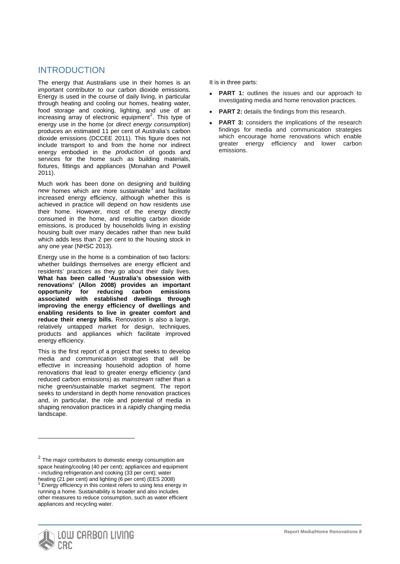# INTRODUCTION

The energy that Australians use in their homes is an important contributor to our carbon dioxide emissions. Energy is used in the course of daily living, in particular through heating and cooling our homes, heating water, food storage and cooking, lighting, and use of an increasing array of electronic equipment<sup>[2](#page-1-1)</sup>. This type of energy use in the home (or *direct energy consumption*) produces an estimated 11 per cent of Australia's carbon dioxide emissions (DCCEE 2011). This figure does not include transport to and from the home nor indirect energy embodied in the *production* of goods and services for the home such as building materials, fixtures, fittings and appliances (Monahan and Powell 2011).

Much work has been done on designing and building new homes which are more sustainable<sup>[3](#page-8-0)</sup> and facilitate increased energy efficiency, although whether this is achieved in practice will depend on how residents use their home. However, most of the energy directly consumed in the home, and resulting carbon dioxide emissions, is produced by households living in *existing* housing built over many decades rather than new build which adds less than 2 per cent to the housing stock in any one year (NHSC 2013).

Energy use in the home is a combination of two factors: whether buildings themselves are energy efficient and residents' practices as they go about their daily lives. **What has been called 'Australia's obsession with renovations' (Allon 2008) provides an important opportunity for reducing carbon emissions associated with established dwellings through improving the energy efficiency of dwellings and enabling residents to live in greater comfort and reduce their energy bills.** Renovation is also a large, relatively untapped market for design, techniques, products and appliances which facilitate improved energy efficiency.

This is the first report of a project that seeks to develop media and communication strategies that will be effective in increasing household adoption of home renovations that lead to greater energy efficiency (and reduced carbon emissions) as *mainstream* rather than a niche green/sustainable market segment. The report seeks to understand in depth home renovation practices and, in particular, the role and potential of media in shaping renovation practices in a rapidly changing media landscape.

<span id="page-8-1"></span><span id="page-8-0"></span> $2$  The major contributors to domestic energy consumption are space heating/cooling (40 per cent); appliances and equipment - including refrigeration and cooking (33 per cent); water heating (21 per cent) and lighting (6 per cent) (EES 2008) <sup>3</sup> Energy efficiency in this context refers to using less energy in running a home. Sustainability is broader and also includes other measures to reduce consumption, such as water efficient appliances and recycling water.



-

It is in three parts:

- **PART 1:** outlines the issues and our approach to investigating media and home renovation practices.
- **PART 2:** details the findings from this research.
- **PART 3:** considers the implications of the research findings for media and communication strategies which encourage home renovations which enable greater energy efficiency and lower carbon emissions.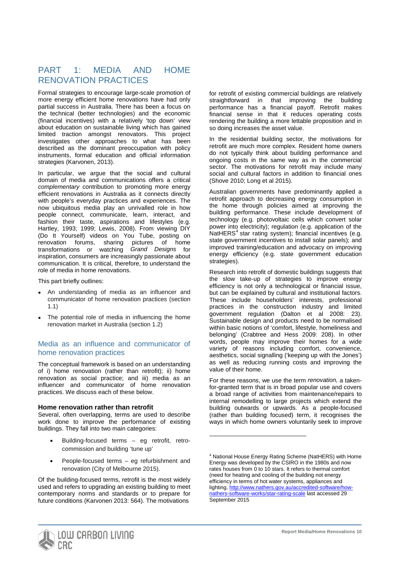# PART 1: MEDIA AND HOME RENOVATION PRACTICES

Formal strategies to encourage large-scale promotion of more energy efficient home renovations have had only partial success in Australia. There has been a focus on the technical (better technologies) and the economic (financial incentives) with a relatively 'top down' view about education on sustainable living which has gained limited traction amongst renovators. This project investigates other approaches to what has been described as the dominant preoccupation with policy instruments, formal education and official information strategies (Karvonen, 2013).

In particular, we argue that the social and cultural domain of media and communications offers a critical *complementary* contribution to promoting more energy efficient renovations in Australia as it connects directly with people's everyday practices and experiences. The now ubiquitous media play an unrivalled role in how people connect, communicate, learn, interact, and fashion their taste, aspirations and lifestyles (e.g. Hartley, 1993; 1999; Lewis, 2008). From viewing DIY (Do It Yourself) videos on You Tube, posting on<br>renovation forums, sharing pictures of home sharing pictures of home<br>watching Grand Designs for transformations or watching inspiration, consumers are increasingly passionate about communication. It is critical, therefore, to understand the role of media in home renovations.

This part briefly outlines:

- An understanding of media as an influencer and communicator of home renovation practices (section 1.1)
- The potential role of media in influencing the home renovation market in Australia (section 1.2)

#### Media as an influence and communicator of home renovation practices

The conceptual framework is based on an understanding of i) home renovation (rather than retrofit); ii) home renovation as social practice; and iii) media as an influencer and communicator of home renovation practices. We discuss each of these below.

#### **Home renovation rather than retrofit**

Several, often overlapping, terms are used to describe work done to improve the performance of existing buildings. They fall into two main categories:

- Building-focused terms eg retrofit, retrocommission and building 'tune up'
- People-focused terms eg refurbishment and renovation (City of Melbourne 2015).

<span id="page-10-0"></span>Of the building-focused terms, retrofit is the most widely used and refers to upgrading an existing building to meet contemporary norms and standards or to prepare for future conditions (Karvonen 2013: 564). The motivations

for retrofit of existing commercial buildings are relatively<br>straightforward in that improving the building  $straightforward$  in that improving performance has a financial payoff. Retrofit makes financial sense in that it reduces operating costs rendering the building a more lettable proposition and in so doing increases the asset value.

In the residential building sector, the motivations for retrofit are much more complex. Resident home owners do not typically think about building performance and ongoing costs in the same way as in the commercial sector. The motivations for retrofit may include many social and cultural factors in addition to financial ones (Shove 2010; Long et al 2015).

Australian governments have predominantly applied a retrofit approach to decreasing energy consumption in the home through policies aimed at improving the building performance. These include development of technology (e.g. photovoltaic cells which convert solar power into electricity); regulation (e.g. application of the NatHERS<sup>[4](#page-8-1)</sup> star rating system); financial incentives (e.g. state government incentives to install solar panels); and improved training/education and advocacy on improving energy efficiency (e.g. state government education strategies).

Research into retrofit of domestic buildings suggests that the slow take-up of strategies to improve energy efficiency is not only a technological or financial issue, but can be explained by cultural and institutional factors. These include householders' interests, professional practices in the construction industry and limited government regulation (Dalton et al 2008: 23). Sustainable design and products need to be normalised within basic notions of 'comfort, lifestyle, homeliness and belonging' (Crabtree and Hess 2009: 208). In other words, people may improve their homes for a wide variety of reasons including comfort, convenience, aesthetics, social signalling ('keeping up with the Jones') as well as reducing running costs and improving the value of their home.

For these reasons, we use the term *renovation,* a takenfor-granted term that is in broad popular use and covers a broad range of activities from maintenance/repairs to internal remodelling to large projects which extend the building outwards or upwards. As a people-focused (rather than building focused) term, it recognises the ways in which home owners voluntarily seek to improve



<sup>4</sup> National House Energy Rating Scheme (NatHERS) with Home Energy was developed by the CSIRO in the 1980s and now rates houses from 0 to 10 stars. It refers to thermal comfort (need for heating and cooling of the building not energy efficiency in terms of hot water systems, appliances and lighting[. http://www.nathers.gov.au/accredited-software/how](http://www.nathers.gov.au/accredited-software/how-nathers-software-works/star-rating-scale)[nathers-software-works/star-rating-scale](http://www.nathers.gov.au/accredited-software/how-nathers-software-works/star-rating-scale) last accessed 29 September 2015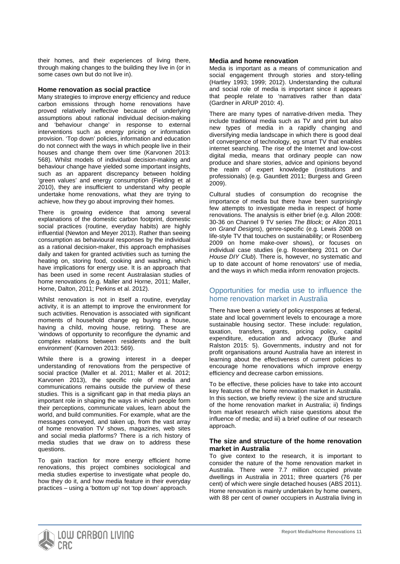their homes, and their experiences of living there, through making changes to the building they live in (or in some cases own but do not live in).

#### **Home renovation as social practice**

Many strategies to improve energy efficiency and reduce carbon emissions through home renovations have proved relatively ineffective because of underlying assumptions about rational individual decision-making and 'behaviour change' in response to external interventions such as energy pricing or information provision. 'Top down' policies, information and education do not connect with the ways in which people live in their houses and change them over time (Karvonen 2013: 568). Whilst models of individual decision-making and behaviour change have yielded some important insights, such as an apparent discrepancy between holding 'green values' and energy consumption (Fielding et al 2010), they are insufficient to understand why people undertake home renovations, what they are trying to achieve, how they go about improving their homes.

There is growing evidence that among several explanations of the domestic carbon footprint, domestic social practices (routine, everyday habits) are highly influential (Newton and Meyer 2013). Rather than seeing consumption as behavioural responses by the individual as a rational decision-maker, this approach emphasises daily and taken for granted activities such as turning the heating on, storing food, cooking and washing, which have implications for energy use. It is an approach that has been used in some recent Australasian studies of home renovations (e.g. Maller and Horne, 2011; Maller, Horne, Dalton, 2011; Perkins et al. 2012).

Whilst renovation is not in itself a routine, everyday activity, it is an attempt to improve the environment for such activities. Renovation is associated with significant moments of household change eg buying a house, having a child, moving house, retiring. These are 'windows of opportunity to reconfigure the dynamic and complex relations between residents and the built environment' (Karnoven 2013: 569).

While there is a growing interest in a deeper understanding of renovations from the perspective of social practice (Maller et al. 2011; Maller et al. 2012; Karvonen 2013), the specific role of media and communications remains outside the purview of these studies. This is a significant gap in that media plays an important role in shaping the ways in which people form their perceptions, communicate values, learn about the world, and build communities. For example, what are the messages conveyed, and taken up, from the vast array of home renovation TV shows, magazines, web sites and social media platforms? There is a rich history of media studies that we draw on to address these questions.

To gain traction for more energy efficient home renovations, this project combines sociological and media studies expertise to investigate what people do, how they do it, and how media feature in their everyday practices – using a 'bottom up' not 'top down' approach.

#### **Media and home renovation**

Media is important as a means of communication and social engagement through stories and story-telling (Hartley 1993; 1999; 2012). Understanding the cultural and social role of media is important since it appears that people relate to 'narratives rather than data' (Gardner in ARUP 2010: 4).

There are many types of narrative-driven media. They include traditional media such as TV and print but also new types of media in a rapidly changing and diversifying media landscape in which there is good deal of convergence of technology, eg smart TV that enables internet searching. The rise of the Internet and low-cost digital media, means that ordinary people can now produce and share stories, advice and opinions beyond the realm of expert knowledge (institutions and professionals) (e.g. Gauntlett 2011; Burgess and Green 2009).

Cultural studies of consumption do recognise the importance of media but there have been surprisingly few attempts to investigate media in respect of home renovations. The analysis is either brief (e.g. Allon 2008: 30-36 on Channel 9 TV series *The Block*; or Allon 2011 on *Grand Designs*), genre-specific (e.g. Lewis 2008 on life-style TV that touches on sustainability; or Rosenberg 2009 on home make-over shows), or focuses on individual case studies (e.g. Rosenberg 2011 on *Our House DIY Club*). There is, however, no systematic and up to date account of home renovators' use of media, and the ways in which media inform renovation projects.

## Opportunities for media use to influence the home renovation market in Australia

There have been a variety of policy responses at federal, state and local government levels to encourage a more sustainable housing sector. These include: regulation, taxation, transfers, grants, pricing policy, capital expenditure, education and advocacy (Burke and Ralston 2015: 5). Governments, industry and not for profit organisations around Australia have an interest in learning about the effectiveness of current policies to encourage home renovations which improve energy efficiency and decrease carbon emissions.

To be effective, these policies have to take into account key features of the home renovation market in Australia. In this section, we briefly review: i) the size and structure of the home renovation market in Australia; ii) findings from market research which raise questions about the influence of media; and iii) a brief outline of our research approach

#### **The size and structure of the home renovation market in Australia**

To give context to the research, it is important to consider the nature of the home renovation market in Australia. There were 7.7 million occupied private dwellings in Australia in 2011; three quarters (76 per cent) of which were single detached houses (ABS 2011). Home renovation is mainly undertaken by home owners, with 88 per cent of owner occupiers in Australia living in

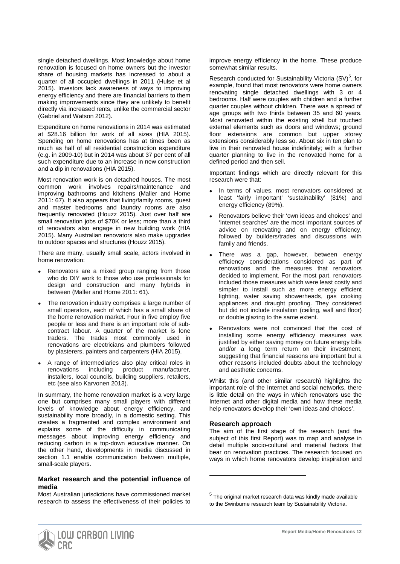single detached dwellings. Most knowledge about home renovation is focused on home owners but the investor share of housing markets has increased to about a quarter of all occupied dwellings in 2011 (Hulse et al 2015). Investors lack awareness of ways to improving energy efficiency and there are financial barriers to them making improvements since they are unlikely to benefit directly via increased rents, unlike the commercial sector (Gabriel and Watson 2012).

Expenditure on home renovations in 2014 was estimated at \$28.16 billion for work of all sizes (HIA 2015). Spending on home renovations has at times been as much as half of all residential construction expenditure (e.g. in 2009-10) but in 2014 was about 37 per cent of all such expenditure due to an increase in new construction and a dip in renovations (HIA 2015).

Most renovation work is on detached houses. The most common work involves repairs/maintenance and improving bathrooms and kitchens (Maller and Horne 2011: 67). It also appears that living/family rooms, guest and master bedrooms and laundry rooms are also frequently renovated (Houzz 2015). Just over half are small renovation jobs of \$70K or less; more than a third of renovators also engage in new building work (HIA 2015). Many Australian renovators also make upgrades to outdoor spaces and structures (Houzz 2015).

There are many, usually small scale, actors involved in home renovation:

- Renovators are a mixed group ranging from those who do DIY work to those who use professionals for design and construction and many hybrids in between (Maller and Horne 2011: 61).
- The renovation industry comprises a large number of small operators, each of which has a small share of the home renovation market. Four in five employ five people or less and there is an important role of subcontract labour. A quarter of the market is lone traders. The trades most commonly used in renovations are electricians and plumbers followed by plasterers, painters and carpenters (HIA 2015).
- A range of intermediaries also play critical roles in renovations including product manufacturer, renovations including product manufacturer, installers, local councils, building suppliers, retailers, etc (see also Karvonen 2013).

In summary, the home renovation market is a very large one but comprises many small players with different levels of knowledge about energy efficiency, and sustainability more broadly, in a domestic setting. This creates a fragmented and complex environment and explains some of the difficulty in communicating messages about improving energy efficiency and reducing carbon in a top-down educative manner. On the other hand, developments in media discussed in section 1.1 enable communication between multiple, small-scale players.

#### **Market research and the potential influence of media**

<span id="page-12-0"></span>Most Australian jurisdictions have commissioned market research to assess the effectiveness of their policies to improve energy efficiency in the home. These produce somewhat similar results.

Research conducted for Sustainability Victoria  $(SV)^5$  $(SV)^5$ , for example, found that most renovators were home owners renovating single detached dwellings with 3 or 4 bedrooms. Half were couples with children and a further quarter couples without children. There was a spread of age groups with two thirds between 35 and 60 years. Most renovated within the existing shell but touched external elements such as doors and windows; ground floor extensions are common but upper storey extensions considerably less so. About six in ten plan to live in their renovated house indefinitely; with a further quarter planning to live in the renovated home for a defined period and then sell.

Important findings which are directly relevant for this research were that:

- In terms of values, most renovators considered at least 'fairly important' 'sustainability' (81%) and energy efficiency (89%).
- Renovators believe their 'own ideas and choices' and 'internet searches' are the most important sources of advice on renovating and on energy efficiency, followed by builders/trades and discussions with family and friends.
- There was a gap, however, between energy efficiency considerations considered as part of renovations and the measures that renovators decided to implement. For the most part, renovators included those measures which were least costly and simpler to install such as more energy efficient lighting, water saving showerheads, gas cooking appliances and draught proofing. They considered but did not include insulation (ceiling, wall and floor) or double glazing to the same extent.
- Renovators were not convinced that the cost of installing some energy efficiency measures was justified by either saving money on future energy bills and/or a long term return on their investment, suggesting that financial reasons are important but a other reasons included doubts about the technology and aesthetic concerns.

Whilst this (and other similar research) highlights the important role of the Internet and social networks, there is little detail on the ways in which renovators use the Internet and other digital media and how these media help renovators develop their 'own ideas and choices'.

#### **Research approach**

1

The aim of the first stage of the research (and the subject of this first Report) was to map and analyse in detail multiple socio-cultural and material factors that bear on renovation practices. The research focused on ways in which home renovators develop inspiration and



 $5$  The original market research data was kindly made available to the Swinburne research team by Sustainability Victoria.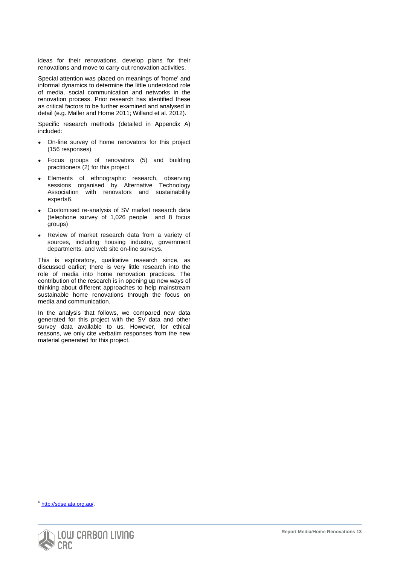ideas for their renovations, develop plans for their renovations and move to carry out renovation activities.

Special attention was placed on meanings of 'home' and informal dynamics to determine the little understood role of media, social communication and networks in the renovation process. Prior research has identified these as critical factors to be further examined and analysed in detail (e.g. Maller and Horne 2011; Willand et al. 2012).

Specific research methods (detailed in Appendix A) included:

- On-line survey of home renovators for this project (156 responses)
- Focus groups of renovators (5) and building practitioners (2) for this project
- Elements of ethnographic research, observing sessions organised by Alternative Technology Association with renovators and sustainability experts[6.](#page-12-0)
- Customised re-analysis of SV market research data (telephone survey of 1,026 people and 8 focus groups)
- Review of market research data from a variety of sources, including housing industry, government departments, and web site on-line surveys.

This is exploratory, qualitative research since, as discussed earlier; there is very little research into the role of media into home renovation practices. The contribution of the research is in opening up new ways of thinking about different approaches to help mainstream sustainable home renovations through the focus on media and communication.

In the analysis that follows, we compared new data generated for this project with the SV data and other survey data available to us. However, for ethical reasons, we only cite verbatim responses from the new material generated for this project.

<span id="page-13-0"></span><sup>6</sup> [http://sdse.ata.org.au/.](http://sdse.ata.org.au/)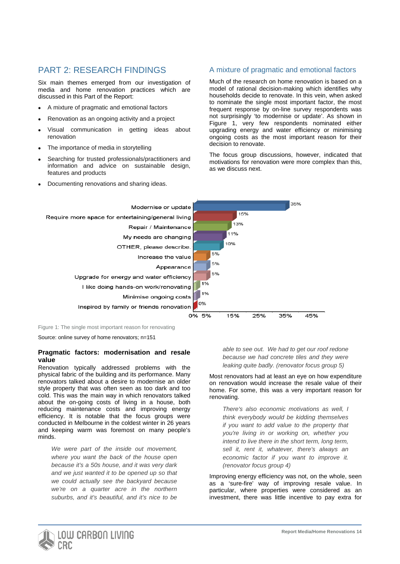# PART 2: RESEARCH FINDINGS

Six main themes emerged from our investigation of media and home renovation practices which are discussed in this Part of the Report:

- A mixture of pragmatic and emotional factors
- Renovation as an ongoing activity and a project
- Visual communication in getting ideas about renovation
- The importance of media in storytelling
- Searching for trusted professionals/practitioners and information and advice on sustainable design, features and products
- Documenting renovations and sharing ideas.

# A mixture of pragmatic and emotional factors

Much of the research on home renovation is based on a model of rational decision-making which identifies why households decide to renovate. In this vein, when asked to nominate the single most important factor, the most frequent response by on-line survey respondents was not surprisingly 'to modernise or update'. As shown in Figure 1, very few respondents nominated either upgrading energy and water efficiency or minimising ongoing costs as the most important reason for their decision to renovate.

The focus group discussions, however, indicated that motivations for renovation were more complex than this, as we discuss next.



Figure 1: The single most important reason for renovating

Source: online survey of home renovators; n=151

#### **Pragmatic factors: modernisation and resale value**

Renovation typically addressed problems with the physical fabric of the building and its performance. Many renovators talked about a desire to modernise an older style property that was often seen as too dark and too cold. This was the main way in which renovators talked about the on-going costs of living in a house, both reducing maintenance costs and improving energy efficiency. It is notable that the focus groups were conducted in Melbourne in the coldest winter in 26 years and keeping warm was foremost on many people's minds.

*We were part of the inside out movement, where you want the back of the house open because it's a 50s house, and it was very dark and we just wanted it to be opened up so that we could actually see the backyard because we're on a quarter acre in the northern suburbs, and it's beautiful, and it's nice to be* 

*able to see out. We had to get our roof redone because we had concrete tiles and they were leaking quite badly. (renovator focus group 5)*

Most renovators had at least an eye on how expenditure on renovation would increase the resale value of their home. For some, this was a very important reason for renovating.

*There's also economic motivations as well, I think everybody would be kidding themselves if you want to add value to the property that you're living in or working on, whether you intend to live there in the short term, long term, sell it, rent it, whatever, there's always an economic factor if you want to improve it. (renovator focus group 4)*

Improving energy efficiency was not, on the whole, seen as a 'sure-fire' way of improving resale value. In particular, where properties were considered as an investment, there was little incentive to pay extra for

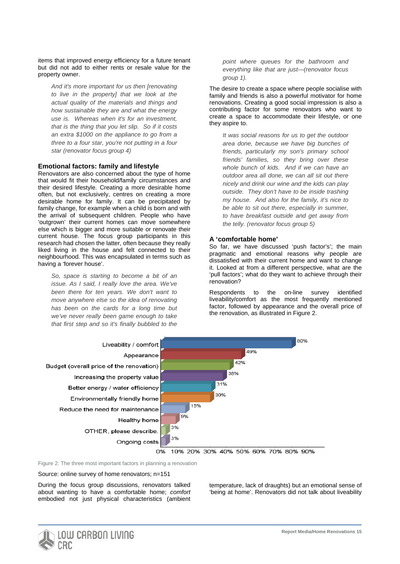items that improved energy efficiency for a future tenant but did not add to either rents or resale value for the property owner.

*And it's more important for us then [renovating to live in the property] that we look at the actual quality of the materials and things and how sustainable they are and what the energy use is. Whereas when it's for an investment, that is the thing that you let slip. So if it costs an extra \$1000 on the appliance to go from a three to a four star, you're not putting in a four star (renovator focus group 4)*

#### **Emotional factors: family and lifestyle**

Renovators are also concerned about the type of home that would fit their household/family circumstances and their desired lifestyle. Creating a more desirable home often, but not exclusively, centres on creating a more desirable home for family. It can be precipitated by family change, for example when a child is born and with the arrival of subsequent children. People who have 'outgrown' their current homes can move somewhere else which is bigger and more suitable or renovate their current house. The focus group participants in this research had chosen the latter, often because they really liked living in the house and felt connected to their neighbourhood. This was encapsulated in terms such as having a 'forever house'.

*So, space is starting to become a bit of an issue. As I said, I really love the area. We've been there for ten years. We don't want to move anywhere else so the idea of renovating has been on the cards for a long time but we've never really been game enough to take that first step and so it's finally bubbled to the* 

*point where queues for the bathroom and everything like that are just—(renovator focus group 1).*

The desire to create a space where people socialise with family and friends is also a powerful motivator for home renovations. Creating a good social impression is also a contributing factor for some renovators who want to create a space to accommodate their lifestyle, or one they aspire to.

*It was social reasons for us to get the outdoor area done, because we have big bunches of friends, particularly my son's primary school friends' families, so they bring over these whole bunch of kids. And if we can have an outdoor area all done, we can all sit out there nicely and drink our wine and the kids can play outside. They don't have to be inside trashing my house. And also for the family, it's nice to be able to sit out there, especially in summer, to have breakfast outside and get away from the telly. (renovator focus group 5)*

#### **A 'comfortable home'**

So far, we have discussed 'push factor's'; the main pragmatic and emotional reasons why people are dissatisfied with their current home and want to change it. Looked at from a different perspective, what are the 'pull factors'; what do they want to achieve through their renovation?

Respondents to the on-line survey identified liveability/comfort as the most frequently mentioned factor, followed by appearance and the overall price of the renovation, as illustrated in Figure 2.



10% 20% 30% 40% 50% 60% 70% 80% 90%

Figure 2: The three most important factors in planning a renovation

Source: online survey of home renovators; n=151

During the focus group discussions, renovators talked about wanting to have a comfortable home; *comfort* embodied not just physical characteristics (ambient temperature, lack of draughts) but an emotional sense of 'being at home'. Renovators did not talk about liveability

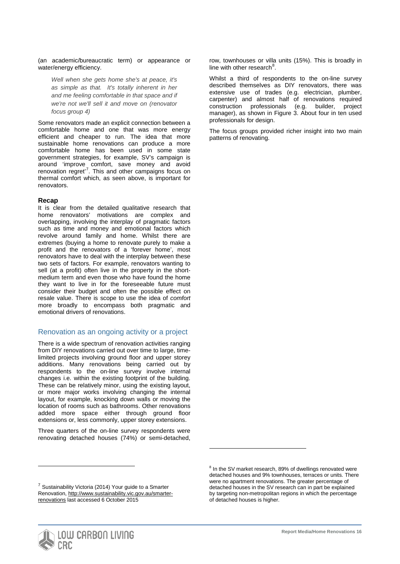(an academic/bureaucratic term) or appearance or water/energy efficiency.

*Well when she gets home she's at peace, it's as simple as that. It's totally inherent in her and me feeling comfortable in that space and if we're not we'll sell it and move on (renovator focus group 4)*

Some renovators made an explicit connection between a comfortable home and one that was more energy efficient and cheaper to run. The idea that more sustainable home renovations can produce a more comfortable home has been used in some state government strategies, for example, SV's campaign is around 'improve comfort, save money and avoid renovation regret<sup>[7](#page-13-0)</sup>. This and other campaigns focus on thermal comfort which, as seen above, is important for renovators.

#### **Recap**

It is clear from the detailed qualitative research that home renovators' motivations are complex and overlapping, involving the interplay of pragmatic factors such as time and money and emotional factors which revolve around family and home. Whilst there are extremes (buying a home to renovate purely to make a profit and the renovators of a 'forever home', most renovators have to deal with the interplay between these two sets of factors. For example, renovators wanting to sell (at a profit) often live in the property in the shortmedium term and even those who have found the home they want to live in for the foreseeable future must consider their budget and often the possible effect on resale value. There is scope to use the idea of *comfort* more broadly to encompass both pragmatic and emotional drivers of renovations.

## Renovation as an ongoing activity or a project

There is a wide spectrum of renovation activities ranging from DIY renovations carried out over time to large, timelimited projects involving ground floor and upper storey additions. Many renovations being carried out by respondents to the on-line survey involve internal changes i.e. within the existing footprint of the building. These can be relatively minor, using the existing layout, or more major works involving changing the internal layout, for example, knocking down walls or moving the location of rooms such as bathrooms. Other renovations added more space either through ground floor extensions or, less commonly, upper storey extensions.

Three quarters of the on-line survey respondents were renovating detached houses (74%) or semi-detached,

<span id="page-16-1"></span><span id="page-16-0"></span> $7$  Sustainability Victoria (2014) Your guide to a Smarter Renovation[, http://www.sustainability.vic.gov.au/smarter](http://www.sustainability.vic.gov.au/smarter-renovations)[renovations](http://www.sustainability.vic.gov.au/smarter-renovations) last accessed 6 October 2015

row, townhouses or villa units (15%). This is broadly in line with other research<sup>[8](#page-16-0)</sup>.

Whilst a third of respondents to the on-line survey described themselves as DIY renovators, there was extensive use of trades (e.g. electrician, plumber, carpenter) and almost half of renovations required construction professionals (e.g. builder, project manager), as shown in Figure 3. About four in ten used professionals for design.

The focus groups provided richer insight into two main patterns of renovating.

-



 $8$  In the SV market research, 89% of dwellings renovated were detached houses and 9% townhouses, terraces or units. There were no apartment renovations. The greater percentage of detached houses in the SV research can in part be explained by targeting non-metropolitan regions in which the percentage of detached houses is higher.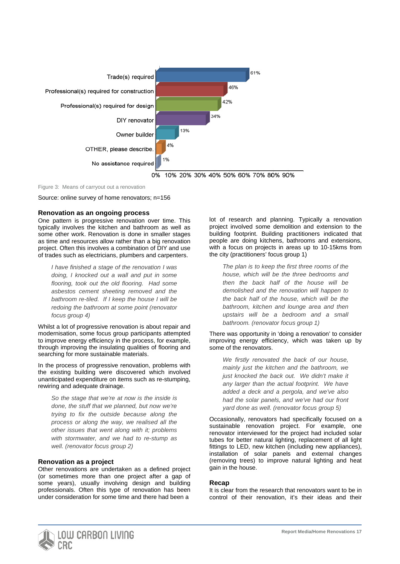

Figure 3: Means of carryout out a renovation

Source: online survey of home renovators; n=156

#### **Renovation as an ongoing process**

One pattern is progressive renovation over time. This typically involves the kitchen and bathroom as well as some other work. Renovation is done in smaller stages as time and resources allow rather than a big renovation project. Often this involves a combination of DIY and use of trades such as electricians, plumbers and carpenters.

*I have finished a stage of the renovation I was doing, I knocked out a wall and put in some flooring, took out the old flooring. Had some asbestos cement sheeting removed and the bathroom re-tiled. If I keep the house I will be redoing the bathroom at some point (renovator focus group 4)*

Whilst a lot of progressive renovation is about repair and modernisation, some focus group participants attempted to improve energy efficiency in the process, for example, through improving the insulating qualities of flooring and searching for more sustainable materials.

In the process of progressive renovation, problems with the existing building were discovered which involved unanticipated expenditure on items such as re-stumping, rewiring and adequate drainage.

*So the stage that we're at now is the inside is done, the stuff that we planned, but now we're trying to fix the outside because along the process or along the way, we realised all the other issues that went along with it; problems with stormwater, and we had to re-stump as well. (renovator focus group 2)*

#### **Renovation as a project**

Other renovations are undertaken as a defined project (or sometimes more than one project after a gap of some years), usually involving design and building professionals. Often this type of renovation has been under consideration for some time and there had been a

lot of research and planning. Typically a renovation project involved some demolition and extension to the building footprint. Building practitioners indicated that people are doing kitchens, bathrooms and extensions, with a focus on projects in areas up to 10-15kms from the city (practitioners' focus group 1)

*The plan is to keep the first three rooms of the house, which will be the three bedrooms and then the back half of the house will be demolished and the renovation will happen to the back half of the house, which will be the bathroom, kitchen and lounge area and then upstairs will be a bedroom and a small bathroom. (renovator focus group 1)*

There was opportunity in 'doing a renovation' to consider improving energy efficiency, which was taken up by some of the renovators.

*We firstly renovated the back of our house, mainly just the kitchen and the bathroom, we just knocked the back out. We didn't make it any larger than the actual footprint. We have added a deck and a pergola, and we've also had the solar panels, and we've had our front yard done as well. (renovator focus group 5)*

Occasionally, renovators had specifically focused on a sustainable renovation project. For example, one renovator interviewed for the project had included solar tubes for better natural lighting, replacement of all light fittings to LED, new kitchen (including new appliances), installation of solar panels and external changes (removing trees) to improve natural lighting and heat gain in the house.

#### **Recap**

It is clear from the research that renovators want to be in control of their renovation, it's their ideas and their

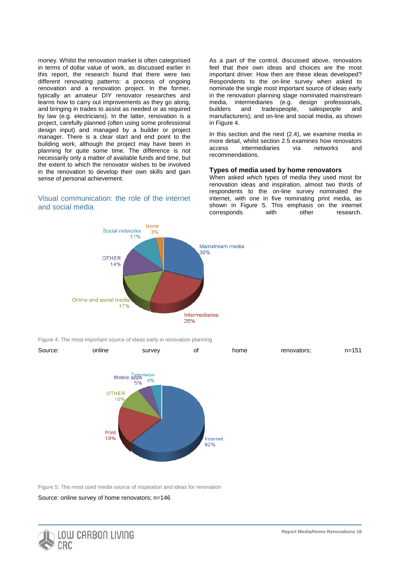money. Whilst the renovation market is often categorised in terms of dollar value of work, as discussed earlier in this report, the research found that there were two different renovating patterns: a process of ongoing renovation and a renovation project. In the former, typically an amateur DIY renovator researches and learns how to carry out improvements as they go along, and bringing in trades to assist as needed or as required by law (e.g. electricians). In the latter, renovation is a project, carefully planned (often using some professional design input) and managed by a builder or project manager. There is a clear start and end point to the building work, although the project may have been in planning for quite some time. The difference is not necessarily only a matter of available funds and time, but the extent to which the renovator wishes to be involved in the renovation to develop their own skills and gain sense of personal achievement.

## Visual communication: the role of the internet and social media

As a part of the control, discussed above, renovators feel that their own ideas and choices are the most important driver. How then are these ideas developed? Respondents to the on-line survey when asked to nominate the single most important source of ideas early in the renovation planning stage nominated mainstream media, intermediaries (e.g. design professionals,<br>builders and tradespeople. salespeople and and tradespeople, salespeople and manufacturers); and on-line and social media, as shown in Figure 4.

In this section and the next (2.4), we examine media in more detail, whilst section 2.5 examines how renovators access intermediaries via networks and recommendations.

#### **Types of media used by home renovators**

When asked *which* types of media they used most for renovation ideas and inspiration, almost two thirds of respondents to the on-line survey nominated the internet, with one in five nominating print media, as shown in Figure 5. This emphasis on the internet corresponds with other research.



Figure 4: The most important source of ideas early in renovation planning



Figure 5: The most used media source of inspiration and ideas for renovation

Source: online survey of home renovators; n=146

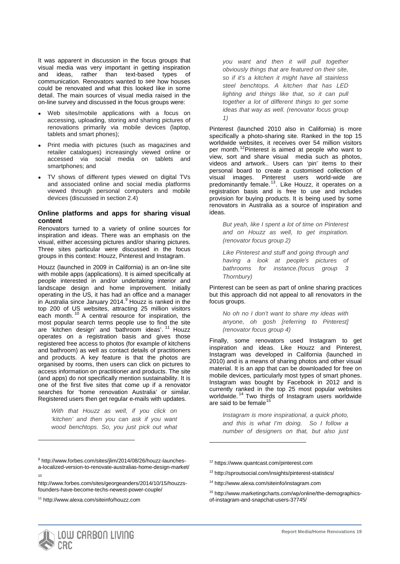It was apparent in discussion in the focus groups that visual media was very important in getting inspiration and ideas, rather than text-based types of communication. Renovators wanted to *see* how houses could be renovated and what this looked like in some detail. The main sources of visual media raised in the on-line survey and discussed in the focus groups were:

- Web sites/mobile applications with a focus on accessing, uploading, storing and sharing pictures of renovations primarily via mobile devices (laptop, tablets and smart phones);
- Print media with pictures (such as magazines and retailer catalogues) increasingly viewed online or accessed via social media on tablets and smartphones; and
- TV shows of different types viewed on digital TVs and associated online and social media platforms viewed through personal computers and mobile devices (discussed in section 2.4)

#### **Online platforms and apps for sharing visual content**

Renovators turned to a variety of online sources for inspiration and ideas. There was an emphasis on the visual, either accessing pictures and/or sharing pictures. Three sites particular were discussed in the focus groups in this context: Houzz, Pinterest and Instagram.

Houzz (launched in 2009 in California) is an on-line site with mobile apps (applications). It is aimed specifically at people interested in and/or undertaking interior and landscape design and home improvement. Initially operating in the US, it has had an office and a manager in Australia since January 2014.<sup>[9](#page-16-1)</sup> Houzz is ranked in the top 200 of US websites, attracting 25 million visitors each month.<sup>[10](#page-19-0)</sup> A central resource for inspiration, the most popular search terms people use to find the site are 'kitchen design' and 'bathroom ideas'.<sup>[11](#page-19-1)</sup> Houzz operates on a registration basis and gives those registered free access to photos (for example of kitchens and bathroom) as well as contact details of practitioners and products. A key feature is that the photos are organised by rooms, then users can click on pictures to access information on practitioner and products. The site (and apps) do not specifically mention sustainability. It is one of the first five sites that come up if a renovator searches for 'home renovation Australia' or similar. Registered users then get regular e-mails with updates.

*With that Houzz as well, if you click on 'kitchen' and then you can ask if you want wood benchtops. So, you just pick out what* 

-

10

*you want and then it will pull together obviously things that are featured on their site, so if it's a kitchen it might have all stainless steel benchtops. A kitchen that has LED lighting and things like that, so it can pull together a lot of different things to get some ideas that way as well. (renovator focus group 1)*

Pinterest (launched 2010 also in California) is more specifically a photo-sharing site. Ranked in the top 15 worldwide websites, it receives over 54 million visitors per month.<sup>[12](#page-19-2)</sup>Pinterest is aimed at people who want to view, sort and share visual media such as photos, videos and artwork.. Users can 'pin' items to their personal board to create a customised collection of visual images. Pinterest users world-wide are predominantly female.<sup>[13](#page-19-3)</sup>. Like Houzz, it operates on a registration basis and is free to use and includes provision for buying products. It is being used by some renovators in Australia as a source of inspiration and ideas.

*But yeah, like I spent a lot of time on Pinterest and on Houzz as well, to get inspiration. (renovator focus group 2)*

*Like Pinterest and stuff and going through and having a look at people's pictures of bathrooms for instance.(focus group 3 Thornbury)*

Pinterest can be seen as part of online sharing practices but this approach did not appeal to all renovators in the focus groups.

*No oh no I don't want to share my ideas with anyone, oh gosh [referring to Pinterest] (renovator focus group 4)*

Finally, some renovators used Instagram to get inspiration and ideas. Like Houzz and Pinterest, Instagram was developed in California (launched in 2010) and is a means of sharing photos and other visual material. It is an app that can be downloaded for free on mobile devices, particularly most types of smart phones. Instagram was bought by Facebook in 2012 and is currently ranked in the top 25 most popular websites worldwide.<sup>[14](#page-19-0)</sup> Two thirds of Instagram users worldwide are said to be female<sup>[15](#page-19-4)</sup>

*Instagram is more inspirational, a quick photo, and this is what I'm doing. So I follow a number of designers on that, but also just* 



<span id="page-19-5"></span><span id="page-19-2"></span><sup>9</sup> http://www.forbes.com/sites/jlim/2014/08/26/houzz-launchesa-localized-version-to-renovate-australias-home-design-market/

<span id="page-19-3"></span><span id="page-19-0"></span>http://www.forbes.com/sites/georgeanders/2014/10/15/houzzsfounders-have-become-techs-newest-power-couple/

<span id="page-19-4"></span><span id="page-19-1"></span><sup>11</sup> http://www.alexa.com/siteinfo/houzz.com

<sup>12</sup> https://www.quantcast.com/pinterest.com

<sup>13</sup> http://sproutsocial.com/insights/pinterest-statistics/

<sup>14</sup> http://www.alexa.com/siteinfo/instagram.com

<sup>15</sup> http://www.marketingcharts.com/wp/online/the-demographicsof-instagram-and-snapchat-users-37745/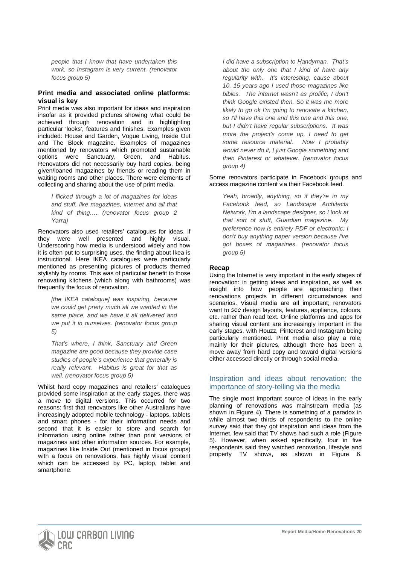*people that I know that have undertaken this work, so Instagram is very current. (renovator focus group 5)*

#### **Print media and associated online platforms: visual is key**

Print media was also important for ideas and inspiration insofar as it provided pictures showing what could be achieved through renovation and in highlighting particular 'looks', features and finishes. Examples given included: House and Garden, Vogue Living, Inside Out and The Block magazine. Examples of magazines mentioned by renovators which promoted sustainable options were Sanctuary, Green, and Habitus. Renovators did not necessarily buy hard copies, being given/loaned magazines by friends or reading them in waiting rooms and other places. There were elements of collecting and sharing about the use of print media.

*I flicked through a lot of magazines for ideas and stuff, like magazines, internet and all that kind of thing…. (renovator focus group 2 Yarra)*

Renovators also used retailers' catalogues for ideas, if they were well presented and highly visual. Underscoring how media is understood widely and how it is often put to surprising uses, the finding about Ikea is instructional. Here IKEA catalogues were particularly mentioned as presenting pictures of products themed stylishly by rooms. This was of particular benefit to those renovating kitchens (which along with bathrooms) was frequently the focus of renovation.

*[the IKEA catalogue] was inspiring, because we could get pretty much all we wanted in the same place, and we have it all delivered and we put it in ourselves. (renovator focus group 5)*

*That's where, I think, Sanctuary and Green magazine are good because they provide case studies of people's experience that generally is really relevant. Habitus is great for that as well. (renovator focus group 5)*

Whilst hard copy magazines and retailers' catalogues provided some inspiration at the early stages, there was a move to digital versions. This occurred for two reasons: first that renovators like other Australians have increasingly adopted mobile technology - laptops, tablets and smart phones - for their information needs and second that it is easier to store and search for information using online rather than print versions of magazines and other information sources. For example, magazines like Inside Out (mentioned in focus groups) with a focus on renovations, has highly visual content which can be accessed by PC, laptop, tablet and smartphone.

*I did have a subscription to Handyman. That's about the only one that I kind of have any regularity with. It's interesting, cause about 10, 15 years ago I used those magazines like bibles. The internet wasn't as prolific, I don't think Google existed then. So it was me more likely to go ok I'm going to renovate a kitchen, so I'll have this one and this one and this one, but I didn't have regular subscriptions. It was more the project's come up, I need to get some resource material. Now I probably would never do it, I just Google something and then Pinterest or whatever. (renovator focus group 4)*

Some renovators participate in Facebook groups and access magazine content via their Facebook feed.

*Yeah, broadly, anything, so if they're in my Facebook feed, so Landscape Architects Network, I'm a landscape designer, so I look at that sort of stuff, Guardian magazine. My preference now is entirely PDF or electronic; I don't buy anything paper version because I've got boxes of magazines. (renovator focus group 5)*

## **Recap**

Using the Internet is very important in the early stages of renovation: in getting ideas and inspiration, as well as insight into how people are approaching their renovations projects in different circumstances and scenarios. Visual media are all important; renovators want to *see* design layouts, features, appliance, colours, etc. rather than read text. Online platforms and apps for sharing visual content are increasingly important in the early stages, with Houzz, Pinterest and Instagram being particularly mentioned. Print media also play a role, mainly for their pictures, although there has been a move away from hard copy and toward digital versions either accessed directly or through social media.

## Inspiration and ideas about renovation: the importance of story-telling via the media

The single most important source of ideas in the early planning of renovations was mainstream media (as shown in Figure 4). There is something of a paradox in while almost two thirds of respondents to the online survey said that they got inspiration and ideas from the Internet, few said that TV shows had such a role (Figure 5). However, when asked specifically, four in five respondents said they watched renovation, lifestyle and property TV shows, as shown in Figure 6.

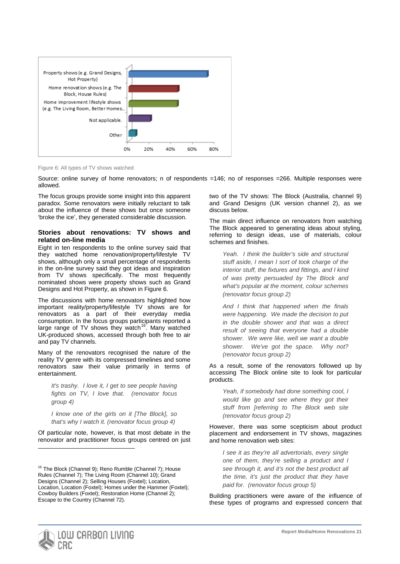

Figure 6: All types of TV shows watched

Source: online survey of home renovators; n of respondents =146; no of responses =266. Multiple responses were allowed.

The focus groups provide some insight into this apparent paradox. Some renovators were initially reluctant to talk about the influence of these shows but once someone 'broke the ice', they generated considerable discussion.

#### **Stories about renovations: TV shows and related on-line media**

Eight in ten respondents to the online survey said that they watched home renovation/property/lifestyle TV shows, although only a small percentage of respondents in the on-line survey said they got ideas and inspiration from TV shows specifically. The most frequently nominated shows were property shows such as Grand Designs and Hot Property, as shown in Figure 6.

The discussions with home renovators highlighted how important reality/property/lifestyle TV shows are for renovators as a part of their everyday media consumption. In the focus groups participants reported a large range of TV shows they watch<sup>16</sup>. Many watched UK-produced shows, accessed through both free to air and pay TV channels.

Many of the renovators recognised the nature of the reality TV genre with its compressed timelines and some renovators saw their value primarily in terms of entertainment.

*It's trashy. I love it, I get to see people having fights on TV, I love that. (renovator focus group 4)*

*I know one of the girls on it [The Block], so that's why I watch it. (renovator focus group 4)*

Of particular note, however, is that most debate in the renovator and practitioner focus groups centred on just two of the TV shows: The Block (Australia, channel 9) and Grand Designs (UK version channel 2), as we discuss below.

The main direct influence on renovators from watching The Block appeared to generating ideas about styling, referring to design ideas, use of materials, colour schemes and finishes.

*Yeah. I think the builder's side and structural stuff aside, I mean I sort of took charge of the interior stuff, the fixtures and fittings, and I kind of was pretty persuaded by The Block and what's popular at the moment, colour schemes (renovator focus group 2)*

*And I think that happened when the finals were happening. We made the decision to put in the double shower and that was a direct result of seeing that everyone had a double shower. We were like, well we want a double shower. We've got the space. Why not? (renovator focus group 2)*

As a result, some of the renovators followed up by accessing The Block online site to look for particular products.

*Yeah, if somebody had done something cool, I would like go and see where they got their stuff from [referring to The Block web site (renovator focus group 2)*

However, there was some scepticism about product placement and endorsement in TV shows, magazines and home renovation web sites:

*I see it as they're all advertorials, every single one of them, they're selling a product and I see through it, and it's not the best product all the time, it's just the product that they have paid for. (renovator focus group 5)*

Building practitioners were aware of the influence of these types of programs and expressed concern that



<span id="page-21-0"></span><sup>&</sup>lt;sup>16</sup> The Block (Channel 9); Reno Rumble (Channel 7); House Rules (Channel 7); The Living Room (Channel 10); Grand Designs (Channel 2); Selling Houses (Foxtel); Location, Location, Location (Foxtel); Homes under the Hammer (Foxtel); Cowboy Builders (Foxtel); Restoration Home (Channel 2); Escape to the Country (Channel 72).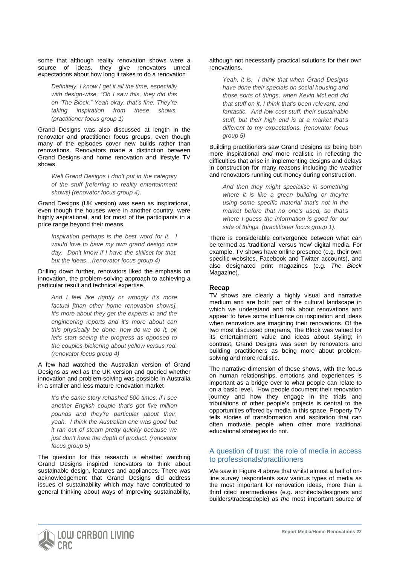some that although reality renovation shows were a source of ideas, they give renovators unreal expectations about how long it takes to do a renovation

*Definitely. I know I get it all the time, especially with design-wise, "Oh I saw this, they did this on 'The Block." Yeah okay, that's fine. They're taking inspiration from these shows. (practitioner focus group 1)*

Grand Designs was also discussed at length in the renovator and practitioner focus groups, even though many of the episodes cover new builds rather than renovations. Renovators made a distinction between Grand Designs and home renovation and lifestyle TV shows.

*Well Grand Designs I don't put in the category of the stuff [referring to reality entertainment shows] (renovator focus group 4).* 

Grand Designs (UK version) was seen as inspirational, even though the houses were in another country, were highly aspirational, and for most of the participants in a price range beyond their means.

*Inspiration perhaps is the best word for it. I would love to have my own grand design one day. Don't know if I have the skillset for that, but the ideas…(renovator focus group 4)*

Drilling down further, renovators liked the emphasis on innovation, the problem-solving approach to achieving a particular result and technical expertise.

*And I feel like rightly or wrongly it's more factual [than other home renovation shows]. It's more about they get the experts in and the engineering reports and it's more about can this physically be done, how do we do it, ok let's start seeing the progress as opposed to the couples bickering about yellow versus red. (renovator focus group 4)*

A few had watched the Australian version of Grand Designs as well as the UK version and queried whether innovation and problem-solving was possible in Australia in a smaller and less mature renovation market

*It's the same story rehashed 500 times; if I see another English couple that's got five million pounds and they're particular about their, yeah. I think the Australian one was good but it ran out of steam pretty quickly because we just don't have the depth of product. (renovator focus group 5)*

The question for this research is whether watching Grand Designs inspired renovators to think about sustainable design, features and appliances. There was acknowledgement that Grand Designs did address issues of sustainability which may have contributed to general thinking about ways of improving sustainability,

#### although not necessarily practical solutions for their own renovations.

*Yeah, it is. I think that when Grand Designs have done their specials on social housing and those sorts of things, when Kevin McLeod did that stuff on it, I think that's been relevant, and fantastic. And low cost stuff, their sustainable stuff, but their high end is at a market that's different to my expectations. (renovator focus group 5)*

Building practitioners saw Grand Designs as being both more inspirational *and* more realistic in reflecting the difficulties that arise in implementing designs and delays in construction for many reasons including the weather and renovators running out money during construction.

*And then they might specialise in something where it is like a green building or they're using some specific material that's not in the market before that no one's used, so that's where I guess the information is good for our side of things. (practitioner focus group 1).*

There is considerable convergence between what can be termed as 'traditional' versus 'new' digital media. For example, TV shows have online presence (e.g. their own specific websites, Facebook and Twitter accounts), and also designated print magazines (e.g. *The Block* Magazine).

## **Recap**

TV shows are clearly a highly visual and narrative medium and are both part of the cultural landscape in which we understand and talk about renovations and appear to have some influence on inspiration and ideas when renovators are imagining their renovations. Of the two most discussed programs, The Block was valued for its entertainment value and ideas about styling; in contrast, Grand Designs was seen by renovators and building practitioners as being more about problemsolving and more realistic.

The narrative dimension of these shows, with the focus on human relationships, emotions and experiences is important as a bridge over to what people can relate to on a basic level. How people document their renovation journey and how they engage in the trials and tribulations of other people's projects is central to the opportunities offered by media in this space. Property TV tells stories of transformation and aspiration that can often motivate people when other more traditional educational strategies do not.

## A question of trust: the role of media in access to professionals/practitioners

We saw in Figure 4 above that whilst almost a half of online survey respondents saw various types of media as the most important for renovation ideas, more than a third cited intermediaries (e.g. architects/designers and builders/tradespeople) as *the* most important source of

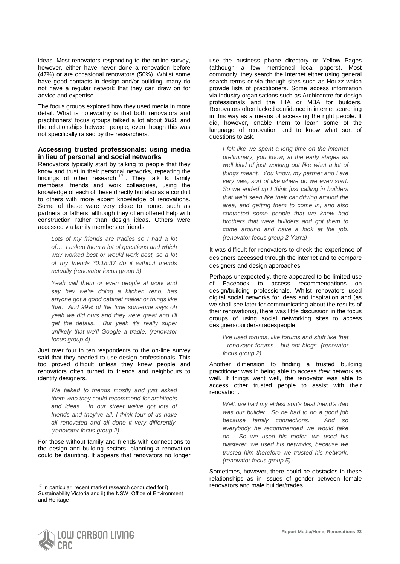ideas. Most renovators responding to the online survey, however, either have never done a renovation before (47%) or are occasional renovators (50%). Whilst some have good contacts in design and/or building, many do not have a regular network that they can draw on for advice and expertise.

The focus groups explored how they used media in more detail. What is noteworthy is that both renovators and practitioners' focus groups talked a lot about *trust*, and the relationships between people, even though this was not specifically raised by the researchers.

#### **Accessing trusted professionals: using media in lieu of personal and social networks**

Renovators typically start by talking to people that they know and trust in their personal networks, repeating the findings of other research  $17$ . They talk to family members, friends and work colleagues, using the knowledge of each of these directly but also as a conduit to others with more expert knowledge of renovations. Some of these were very close to home, such as partners or fathers, although they often offered help with construction rather than design ideas. Others were accessed via family members or friends

*Lots of my friends are tradies so I had a lot of… I asked them a lot of questions and which way worked best or would work best, so a lot of my friends \*0:18:37 do it without friends actually (renovator focus group 3)*

*Yeah call them or even people at work and say hey we're doing a kitchen reno, has anyone got a good cabinet maker or things like that. And 99% of the time someone says oh yeah we did ours and they were great and I'll get the details. But yeah it's really super unlikely that we'll Google a tradie. (renovator focus group 4)*

Just over four in ten respondents to the on-line survey said that they needed to use design professionals. This too proved difficult unless they knew people and renovators often turned to friends and neighbours to identify designers.

*We talked to friends mostly and just asked them who they could recommend for architects and ideas. In our street we've got lots of friends and they've all, I think four of us have all renovated and all done it very differently. (renovator focus group 2).*

For those without family and friends with connections to the design and building sectors, planning a renovation could be daunting. It appears that renovators no longer use the business phone directory or Yellow Pages (although a few mentioned local papers). Most commonly, they search the Internet either using general search terms or via through sites such as Houzz which provide lists of practitioners. Some access information via industry organisations such as Archicentre for design professionals and the HIA or MBA for builders. Renovators often lacked confidence in internet searching in this way as a means of accessing the right people. It did, however, enable them to learn some of the language of renovation and to know what sort of questions to ask.

*I felt like we spent a long time on the internet preliminary, you know, at the early stages as well kind of just working out like what a lot of things meant. You know, my partner and I are very new, sort of like where do we even start. So we ended up I think just calling in builders that we'd seen like their car driving around the area, and getting them to come in, and also contacted some people that we knew had brothers that were builders and got them to come around and have a look at the job. (renovator focus group 2 Yarra)*

It was difficult for renovators to check the experience of designers accessed through the internet and to compare designers and design approaches.

Perhaps unexpectedly, there appeared to be limited use of Facebook to access recommendations on design/building professionals. Whilst renovators used digital social networks for ideas and inspiration and (as we shall see later for communicating about the results of their renovations), there was little discussion in the focus groups of using social networking sites to access designers/builders/tradespeople.

*I've used forums, like forums and stuff like that - renovator forums - but not blogs. (renovator focus group 2)*

Another dimension to finding a trusted building practitioner was in being able to access *their* network as well. If things went well, the renovator was able to access other trusted people to assist with their renovation.

*Well, we had my eldest son's best friend's dad was our builder. So he had to do a good job because family connections. And so everybody he recommended we would take on. So we used his roofer, we used his plasterer, we used his networks, because we trusted him therefore we trusted his network. (renovator focus group 5)*

Sometimes, however, there could be obstacles in these relationships as in issues of gender between female renovators and male builder/trades



<span id="page-23-0"></span><sup>17</sup> In particular, recent market research conducted for i) Sustainability Victoria and ii) the NSW Office of Environment and Heritage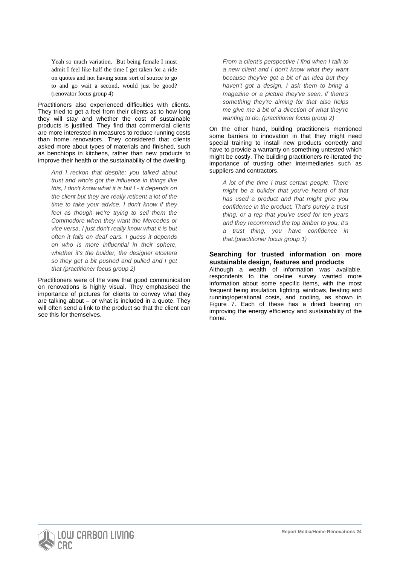Yeah so much variation. But being female I must admit I feel like half the time I get taken for a ride on quotes and not having some sort of source to go to and go wait a second, would just be good? (renovator focus group 4)

Practitioners also experienced difficulties with clients. They tried to get a feel from their clients as to how long they will stay and whether the cost of sustainable products is justified. They find that commercial clients are more interested in measures to reduce running costs than home renovators. They considered that clients asked more about types of materials and finished, such as benchtops in kitchens, rather than new products to improve their health or the sustainability of the dwelling.

*And I reckon that despite; you talked about trust and who's got the influence in things like this, I don't know what it is but I - it depends on the client but they are really reticent a lot of the time to take your advice. I don't know if they feel as though we're trying to sell them the Commodore when they want the Mercedes or vice versa, I just don't really know what it is but often it falls on deaf ears. I guess it depends on who is more influential in their sphere, whether it's the builder, the designer etcetera so they get a bit pushed and pulled and I get that (practitioner focus group 2)*

Practitioners were of the view that good communication on renovations is highly visual. They emphasised the importance of pictures for clients to convey what they are talking about – or what is included in a quote. They will often send a link to the product so that the client can see this for themselves.

*From a client's perspective I find when I talk to a new client and I don't know what they want because they've got a bit of an idea but they haven't got a design, I ask them to bring a magazine or a picture they've seen, if there's something they're aiming for that also helps me give me a bit of a direction of what they're wanting to do. (practitioner focus group 2)*

On the other hand, building practitioners mentioned some barriers to innovation in that they might need special training to install new products correctly and have to provide a warranty on something untested which might be costly. The building practitioners re-iterated the importance of trusting other intermediaries such as suppliers and contractors.

*A lot of the time I trust certain people. There might be a builder that you've heard of that has used a product and that might give you confidence in the product. That's purely a trust thing, or a rep that you've used for ten years and they recommend the top timber to you, it's a trust thing, you have confidence in that.(practitioner focus group 1)*

#### **Searching for trusted information on more sustainable design, features and products**

Although a wealth of information was available, respondents to the on-line survey wanted more information about some specific items, with the most frequent being insulation, lighting, windows, heating and running/operational costs, and cooling, as shown in Figure 7. Each of these has a direct bearing on improving the energy efficiency and sustainability of the home.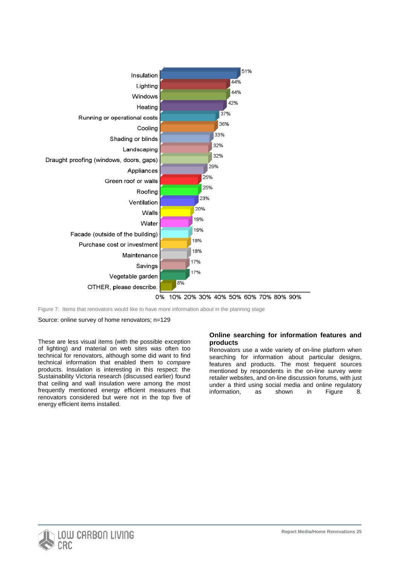

Figure 7: Items that renovators would like to have more information about in the planning stage

Source: online survey of home renovators; n=129

These are less visual items (with the possible exception of lighting) and material on web sites was often too technical for renovators, although some did want to find technical information that enabled them to *compare* products. Insulation is interesting in this respect: the Sustainability Victoria research (discussed earlier) found that ceiling and wall insulation were among the most frequently mentioned energy efficient measures that renovators considered but were not in the top five of energy efficient items installed.

## **Online searching for information features and products**

Renovators use a wide variety of on-line platform when searching for information about particular designs, features and products. The most frequent sources mentioned by respondents in the on-line survey were retailer websites, and on-line discussion forums, with just under a third using social media and online regulatory information, as shown in Figure 8.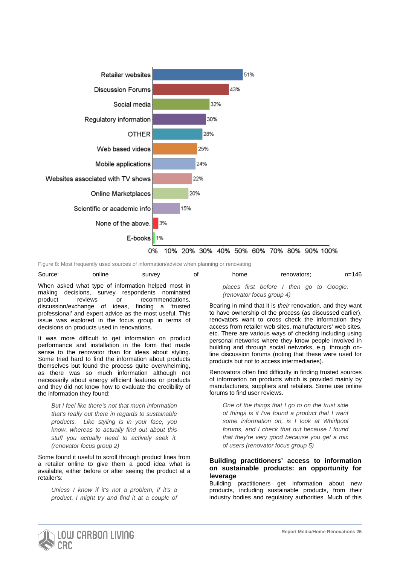

Figure 8: Most frequently used sources of information/advice when planning or renovating

| Source:                                            | online | survey | οt | home                                | renovators:                              | $n = 146$ |
|----------------------------------------------------|--------|--------|----|-------------------------------------|------------------------------------------|-----------|
| When asked what type of information helped most in |        |        |    |                                     | places first before I then go to Google. |           |
| making decisions, survey respondents nominated     |        |        |    | $($ ronovator focus aroun $\Lambda$ |                                          |           |

making decisions, survey respondents nominated product reviews or recommendations, discussion/exchange of ideas, finding a 'trusted professional' and expert advice as the most useful. This issue was explored in the focus group in terms of decisions on products used in renovations.

It was more difficult to get information on product performance and installation in the form that made sense to the renovator than for ideas about styling. Some tried hard to find the information about products themselves but found the process quite overwhelming, as there was so much information although not necessarily about energy efficient features or products and they did not know how to evaluate the credibility of the information they found:

*But I feel like there's not that much information that's really out there in regards to sustainable products. Like styling is in your face, you know, whereas to actually find out about this stuff you actually need to actively seek it. (renovator focus group 2)*

Some found it useful to scroll through product lines from a retailer online to give them a good idea what is available, either before or after seeing the product at a retailer's:

*Unless I know if it's not a problem, if it's a product, I might try and find it at a couple of* 

# *(renovator focus group 4)*

Bearing in mind that it is *their* renovation, and they want to have ownership of the process (as discussed earlier), renovators want to cross check the information they access from retailer web sites, manufacturers' web sites, etc. There are various ways of checking including using personal networks where they know people involved in building and through social networks, e.g. through online discussion forums (noting that these were used for products but not to access intermediaries).

Renovators often find difficulty in finding trusted sources of information on products which is provided mainly by manufacturers, suppliers and retailers. Some use online forums to find user reviews.

*One of the things that I go to on the trust side of things is if I've found a product that I want some information on, is I look at Whirlpool forums, and I check that out because I found that they're very good because you get a mix of users (renovator focus group 5)*

#### **Building practitioners' access to information on sustainable products: an opportunity for leverage**

Building practitioners get information about new products, including sustainable products, from their industry bodies and regulatory authorities. Much of this

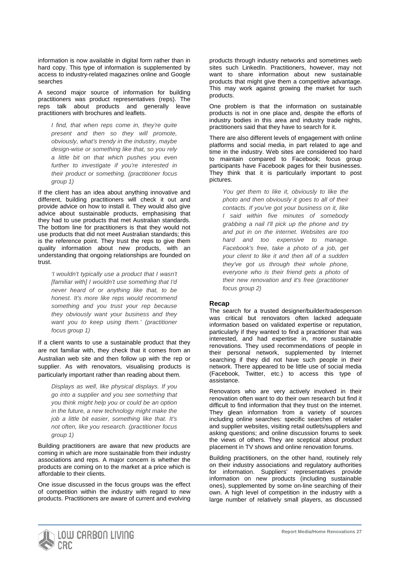information is now available in digital form rather than in hard copy. This type of information is supplemented by access to industry-related magazines online and Google searches

A second major source of information for building practitioners was product representatives (reps). The reps talk about products and generally leave practitioners with brochures and leaflets.

*I find, that when reps come in, they're quite present and then so they will promote, obviously, what's trendy in the industry, maybe design-wise or something like that, so you rely a little bit on that which pushes you even further to investigate if you're interested in their product or something. (practitioner focus group 1)*

If the client has an idea about anything innovative and different, building practitioners will check it out and provide advice on how to install it. They would also give advice about sustainable products, emphasising that they had to use products that met Australian standards. The bottom line for practitioners is that they would not use products that did not meet Australian standards; this is the reference point. They trust the reps to give them quality information about new products, with an understanding that ongoing relationships are founded on trust.

*'I wouldn't typically use a product that I wasn't [familiar with] I wouldn't use something that I'd never heard of or anything like that, to be honest. It's more like reps would recommend something and you trust your rep because they obviously want your business and they want you to keep using them.' (practitioner focus group 1)*

If a client wants to use a sustainable product that they are not familiar with, they check that it comes from an Australian web site and then follow up with the rep or supplier. As with renovators, visualising products is particularly important rather than reading about them.

*Displays as well, like physical displays. If you go into a supplier and you see something that you think might help you or could be an option in the future, a new technology might make the job a little bit easier, something like that. It's not often, like you research. (practitioner focus group 1)*

Building practitioners are aware that new products are coming in which are more sustainable from their industry associations and reps. A major concern is whether the products are coming on to the market at a price which is affordable to their clients.

One issue discussed in the focus groups was the effect of competition within the industry with regard to new products. Practitioners are aware of current and evolving products through industry networks and sometimes web sites such LinkedIn. Practitioners, however, may not want to share information about new sustainable products that might give them a competitive advantage. This may work against growing the market for such products.

One problem is that the information on sustainable products is not in one place and, despite the efforts of industry bodies in this area and industry trade nights, practitioners said that they have to search for it.

There are also different levels of engagement with online platforms and social media, in part related to age and time in the industry. Web sites are considered too hard to maintain compared to Facebook; focus group participants have Facebook pages for their businesses. They think that it is particularly important to post pictures.

*You get them to like it, obviously to like the photo and then obviously it goes to all of their contacts. If you've got your business on it, like I said within five minutes of somebody grabbing a nail I'll pick up the phone and try and put in on the internet. Websites are too hard and too expensive to manage. Facebook's free, take a photo of a job, get your client to like it and then all of a sudden they've got us through their whole phone, everyone who is their friend gets a photo of their new renovation and it's free (practitioner focus group 2)*

#### **Recap**

The search for a trusted designer/builder/tradesperson was critical but renovators often lacked adequate information based on validated expertise or reputation, particularly if they wanted to find a practitioner that was interested, and had expertise in, more sustainable renovations. They used recommendations of people in their personal network, supplemented by Internet searching if they did not have such people in their network. There appeared to be little use of social media (Facebook, Twitter, etc.) to access this type of assistance.

Renovators who are very actively involved in their renovation often want to do their own research but find it difficult to find information that they trust on the internet. They glean information from a variety of sources including online searches: specific searches of retailer and supplier websites, visiting retail outlets/suppliers and asking questions; and online discussion forums to seek the views of others. They are sceptical about product placement in TV shows and online renovation forums.

Building practitioners, on the other hand, routinely rely on their industry associations and regulatory authorities for information. Suppliers' representatives provide information on new products (including sustainable ones), supplemented by some on-line searching of their own. A high level of competition in the industry with a large number of relatively small players, as discussed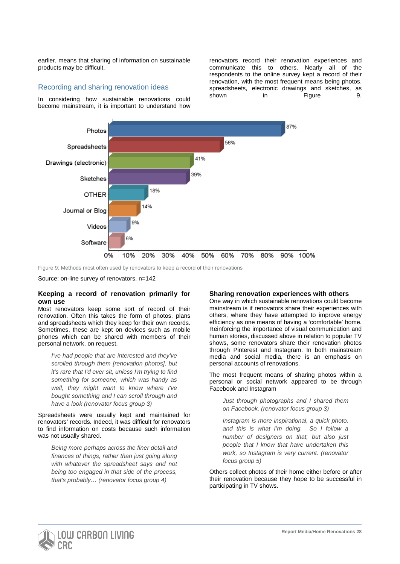earlier, means that sharing of information on sustainable products may be difficult.

## Recording and sharing renovation ideas

In considering how sustainable renovations could become mainstream, it is important to understand how renovators record their renovation experiences and communicate this to others. Nearly all of the respondents to the online survey kept a record of their renovation, with the most frequent means being photos, spreadsheets, electronic drawings and sketches, as shown in Figure 9.



Figure 9: Methods most often used by renovators to keep a record of their renovations

Source: on-line survey of renovators, n=142

#### **Keeping a record of renovation primarily for own use**

Most renovators keep some sort of record of their renovation. Often this takes the form of photos, plans and spreadsheets which they keep for their own records. Sometimes, these are kept on devices such as mobile phones which can be shared with members of their personal network, on request.

*I've had people that are interested and they've scrolled through them [renovation photos], but it's rare that I'd ever sit, unless I'm trying to find something for someone, which was handy as well, they might want to know where I've bought something and I can scroll through and have a look (renovator focus group 3)*

Spreadsheets were usually kept and maintained for renovators' records. Indeed, it was difficult for renovators to find information on costs because such information was not usually shared.

*Being more perhaps across the finer detail and finances of things, rather than just going along with whatever the spreadsheet says and not being too engaged in that side of the process, that's probably… (renovator focus group 4)*

#### **Sharing renovation experiences with others**

One way in which sustainable renovations could become mainstream is if renovators share their experiences with others, where they have attempted to improve energy efficiency as one means of having a 'comfortable' home. Reinforcing the importance of visual communication and human stories, discussed above in relation to popular TV shows, some renovators share their renovation photos through Pinterest and Instagram. In both mainstream media and social media, there is an emphasis on personal accounts of renovations.

The most frequent means of sharing photos within a personal or social network appeared to be through Facebook and Instagram

*Just through photographs and I shared them on Facebook. (renovator focus group 3)*

*Instagram is more inspirational, a quick photo, and this is what I'm doing. So I follow a number of designers on that, but also just people that I know that have undertaken this work, so Instagram is very current. (renovator focus group 5)*

Others collect photos of their home either before or after their renovation because they hope to be successful in participating in TV shows.

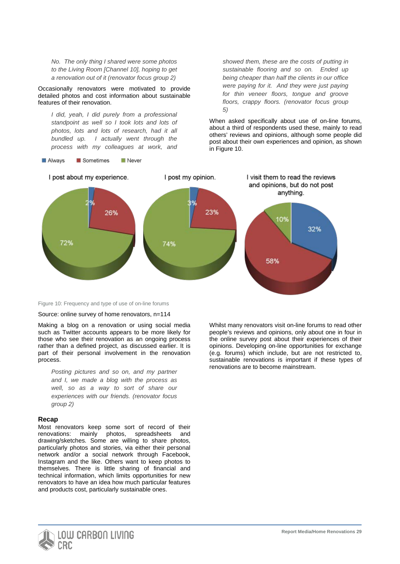*No. The only thing I shared were some photos to the Living Room [Channel 10], hoping to get a renovation out of it (renovator focus group 2)*

Occasionally renovators were motivated to provide detailed photos and cost information about sustainable features of their renovation.

*I did, yeah, I did purely from a professional standpoint as well so I took lots and lots of photos, lots and lots of research, had it all bundled up. I actually went through the process with my colleagues at work, and* 

**Always** Sometimes Never

*showed them, these are the costs of putting in sustainable flooring and so on. Ended up being cheaper than half the clients in our office were paying for it. And they were just paying for thin veneer floors, tongue and groove floors, crappy floors. (renovator focus group 5)*

When asked specifically about use of on-line forums, about a third of respondents used these, mainly to read others' reviews and opinions, although some people did post about their own experiences and opinion, as shown in Figure 10.



Figure 10: Frequency and type of use of on-line forums

Source: online survey of home renovators, n=114

Making a blog on a renovation or using social media such as Twitter accounts appears to be more likely for those who see their renovation as an ongoing process rather than a defined project, as discussed earlier. It is part of their personal involvement in the renovation process.

*Posting pictures and so on, and my partner and I, we made a blog with the process as well, so as a way to sort of share our experiences with our friends. (renovator focus group 2)*

#### **Recap**

Most renovators keep some sort of record of their renovations: mainly photos, spreadsheets and drawing/sketches. Some are willing to share photos, particularly photos and stories, via either their personal network and/or a social network through Facebook, Instagram and the like. Others want to keep photos to themselves. There is little sharing of financial and technical information, which limits opportunities for new renovators to have an idea how much particular features and products cost, particularly sustainable ones.

Whilst many renovators visit on-line forums to read other people's reviews and opinions, only about one in four in the online survey post about their experiences of their opinions. Developing on-line opportunities for exchange (e.g. forums) which include, but are not restricted to, sustainable renovations is important if these types of renovations are to become mainstream.

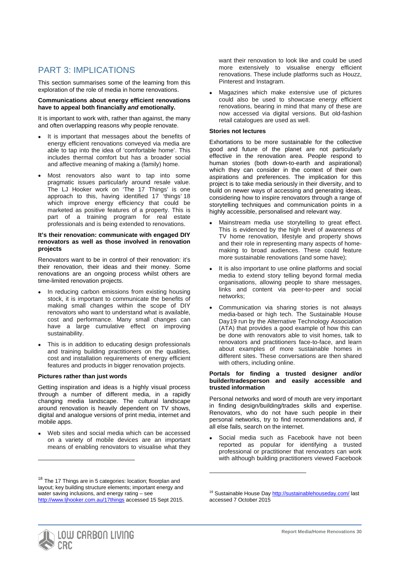# PART 3: IMPLICATIONS

This section summarises some of the learning from this exploration of the role of media in home renovations.

#### **Communications about energy efficient renovations have to appeal both financially** *and* **emotionally.**

It is important to work with, rather than against, the many and often overlapping reasons why people renovate.

- It is important that messages about the benefits of energy efficient renovations conveyed via media are able to tap into the idea of 'comfortable home'. This includes thermal comfort but has a broader social and affective meaning of making a (family) home.
- Most renovators also want to tap into some pragmatic issues particularly around resale value. The LJ Hooker work on 'The 17 Things' is one approach to this, having identified 17 'things' [18](#page-23-0) which improve energy efficiency that could be marketed as positive features of a property. This is part of a training program for real estate professionals and is being extended to renovations.

#### **It's their renovation: communicate with engaged DIY renovators as well as those involved in renovation projects**

Renovators want to be in control of their renovation: it's their renovation, their ideas and their money. Some renovations are an ongoing process whilst others are time-limited renovation projects.

- In reducing carbon emissions from existing housing stock, it is important to communicate the benefits of making small changes within the scope of DIY renovators who want to understand what is available, cost and performance. Many small changes can have a large cumulative effect on improving sustainability.
- This is in addition to educating design professionals and training building practitioners on the qualities, cost and installation requirements of energy efficient features and products in bigger renovation projects.

#### **Pictures rather than just words**

Getting inspiration and ideas is a highly visual process through a number of different media, in a rapidly changing media landscape. The cultural landscape around renovation is heavily dependent on TV shows, digital and analogue versions of print media, internet and mobile apps.

Web sites and social media which can be accessed on a variety of mobile devices are an important means of enabling renovators to visualise what they want their renovation to look like and could be used more extensively to visualise energy efficient renovations. These include platforms such as Houzz, Pinterest and Instagram.

• Magazines which make extensive use of pictures could also be used to showcase energy efficient renovations, bearing in mind that many of these are now accessed via digital versions. But old-fashion retail catalogues are used as well.

#### **Stories not lectures**

Exhortations to be more sustainable for the collective good and future of the planet are not particularly effective in the renovation area. People respond to human stories (both down-to-earth and aspirational) which they can consider in the context of their own aspirations and preferences. The implication for this project is to take media seriously in their diversity, and to build on newer ways of accessing and generating ideas, considering how to inspire renovators through a range of storytelling techniques and communication points in a highly accessible, personalised and relevant way.

- Mainstream media use storytelling to great effect. This is evidenced by the high level of awareness of TV home renovation, lifestyle and property shows and their role in representing many aspects of homemaking to broad audiences. These could feature more sustainable renovations (and some have);
- It is also important to use online platforms and social media to extend story telling beyond formal media organisations, allowing people to share messages, links and content via peer-to-peer and social networks;
- Communication via sharing stories is not always media-based or high tech. The Sustainable House Day[19](#page-30-0) run by the Alternative Technology Association (ATA) that provides a good example of how this can be done with renovators able to visit homes, talk to renovators and practitioners face-to-face, and learn about examples of more sustainable homes in different sites. These conversations are then shared with others, including online.

#### **Portals for finding a trusted designer and/or builder/tradesperson and easily accessible and trusted information**

Personal networks and word of mouth are very important in finding design/building/trades skills and expertise. Renovators, who do not have such people in their personal networks, try to find recommendations and, if all else fails, search on the internet.

Social media such as Facebook have not been reported as popular for identifying a trusted professional or practitioner that renovators can work with although building practitioners viewed Facebook

-



<span id="page-30-1"></span><span id="page-30-0"></span><sup>&</sup>lt;sup>18</sup> The 17 Things are in 5 categories: location; floorplan and layout; key building structure elements; important energy and water saving inclusions, and energy rating – see <http://www.ljhooker.com.au/17things> accessed 15 Sept 2015.

<sup>&</sup>lt;sup>19</sup> Sustainable House Da[y http://sustainablehouseday.com/](http://sustainablehouseday.com/) last accessed 7 October 2015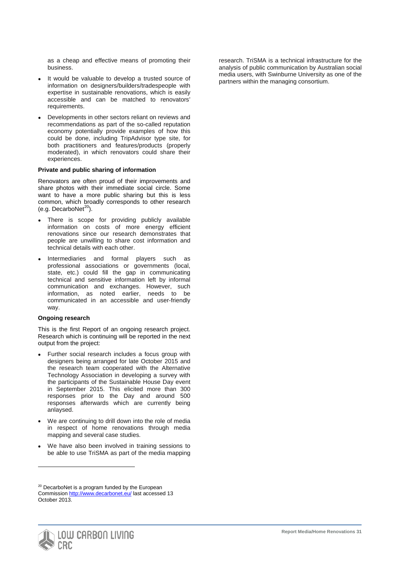as a cheap and effective means of promoting their business.

- It would be valuable to develop a trusted source of information on designers/builders/tradespeople with expertise in sustainable renovations, which is easily accessible and can be matched to renovators' requirements.
- Developments in other sectors reliant on reviews and recommendations as part of the so-called reputation economy potentially provide examples of how this could be done, including TripAdvisor type site, for both practitioners and features/products (properly moderated), in which renovators could share their experiences.

#### **Private and public sharing of information**

Renovators are often proud of their improvements and share photos with their immediate social circle. Some want to have a more public sharing but this is less common, which broadly corresponds to other research (e.g. DecarboNet $^{20}$  $^{20}$  $^{20}$ ).

- There is scope for providing publicly available information on costs of more energy efficient renovations since our research demonstrates that people are unwilling to share cost information and technical details with each other.
- Intermediaries and formal players such as professional associations or governments (local, state, etc.) could fill the gap in communicating technical and sensitive information left by informal communication and exchanges. However, such information, as noted earlier, needs to be communicated in an accessible and user-friendly way.

#### **Ongoing research**

-

This is the first Report of an ongoing research project. Research which is continuing will be reported in the next output from the project:

- Further social research includes a focus group with designers being arranged for late October 2015 and the research team cooperated with the Alternative Technology Association in developing a survey with the participants of the Sustainable House Day event in September 2015. This elicited more than 300 responses prior to the Day and around 500 responses afterwards which are currently being anlaysed.
- We are continuing to drill down into the role of media in respect of home renovations through media mapping and several case studies.
- We have also been involved in training sessions to be able to use TriSMA as part of the media mapping

research. TriSMA is a technical infrastructure for the analysis of public communication by Australian social media users, with Swinburne University as one of the partners within the managing consortium.

<span id="page-31-0"></span> $20$  DecarboNet is a program funded by the European Commission<http://www.decarbonet.eu/> last accessed 13 October 2013.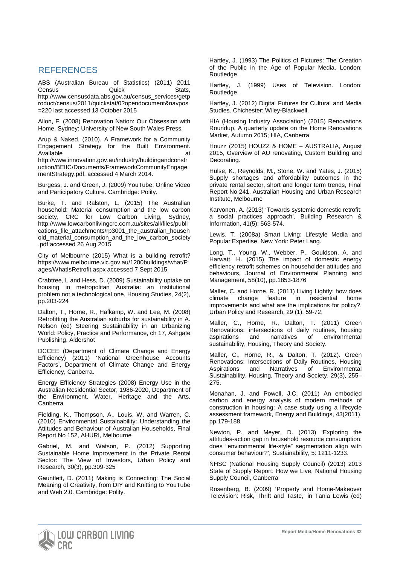# **REFERENCES**

ABS (Australian Bureau of Statistics) (2011) 2011 Census **Quick** Stats, [http://www.censusdata.abs.gov.au/census\\_services/getp](http://www.censusdata.abs.gov.au/census_services/getproduct/census/2011/quickstat/0?opendocument&navpos=220) [roduct/census/2011/quickstat/0?opendocument&navpos](http://www.censusdata.abs.gov.au/census_services/getproduct/census/2011/quickstat/0?opendocument&navpos=220) [=220](http://www.censusdata.abs.gov.au/census_services/getproduct/census/2011/quickstat/0?opendocument&navpos=220) last accessed 13 October 2015

Allon, F. (2008) Renovation Nation: Our Obsession with Home. Sydney: University of New South Wales Press.

Arup & Naked. (2010). A Framework for a Community Engagement Strategy for the Built Environment. Available at a structure at a structure at a structure at a structure at a structure at a structure at a structure at a structure at a structure at a structure at a structure at a structure at a structure at a structure at [http://www.innovation.gov.au/industry/buildingandconstr](http://www.innovation.gov.au/industry/buildingandconstruction/BEIIC/Documents/FrameworkCommunityEngagementStrategy.pdf) [uction/BEIIC/Documents/FrameworkCommunityEngage](http://www.innovation.gov.au/industry/buildingandconstruction/BEIIC/Documents/FrameworkCommunityEngagementStrategy.pdf) [mentStrategy.pdf,](http://www.innovation.gov.au/industry/buildingandconstruction/BEIIC/Documents/FrameworkCommunityEngagementStrategy.pdf) accessed 4 March 2014.

Burgess, J. and Green, J. (2009) YouTube: Online Video and Participatory Culture. Cambridge: Polity.

Burke, T. and Ralston, L. (2015) The Australian household: Material consumption and the low carbon society, CRC for Low Carbon Living, Sydney, [http://www.lowcarbonlivingcrc.com.au/sites/all/files/publi](http://www.lowcarbonlivingcrc.com.au/sites/all/files/publications_file_attachments/rp3001_the_australian_household_material_consumption_and_the_low_carbon_society.pdf) [cations\\_file\\_attachments/rp3001\\_the\\_australian\\_househ](http://www.lowcarbonlivingcrc.com.au/sites/all/files/publications_file_attachments/rp3001_the_australian_household_material_consumption_and_the_low_carbon_society.pdf) [old\\_material\\_consumption\\_and\\_the\\_low\\_carbon\\_society](http://www.lowcarbonlivingcrc.com.au/sites/all/files/publications_file_attachments/rp3001_the_australian_household_material_consumption_and_the_low_carbon_society.pdf) [.pdf](http://www.lowcarbonlivingcrc.com.au/sites/all/files/publications_file_attachments/rp3001_the_australian_household_material_consumption_and_the_low_carbon_society.pdf) accessed 26 Aug 2015

City of Melbourne (2015) What is a building retrofit? [https://www.melbourne.vic.gov.au/1200buildings/what/P](https://www.melbourne.vic.gov.au/1200buildings/what/Pages/WhatIsRetrofit.aspx) [ages/WhatIsRetrofit.aspx](https://www.melbourne.vic.gov.au/1200buildings/what/Pages/WhatIsRetrofit.aspx) accessed 7 Sept 2015

Crabtree, L and Hess, D. (2009) Sustainability uptake on housing in metropolitan Australia: an institutional problem not a technological one, Housing Studies, 24(2), pp.203-224

Dalton, T., Horne, R., Hafkamp, W. and Lee, M. (2008) Retrofitting the Australian suburbs for sustainability in A. Nelson (ed) Steering Sustainability in an Urbanizing World: Policy, Practice and Performance, ch 17, Ashgate Publishing, Aldershot

DCCEE (Department of Climate Change and Energy Efficiency) (2011) 'National Greenhouse Accounts Factors', Department of Climate Change and Energy Efficiency, Canberra.

Energy Efficiency Strategies (2008) Energy Use in the Australian Residential Sector, 1986-2020, Department of the Environment, Water, Heritage and the Arts, Canberra

Fielding, K., Thompson, A., Louis, W. and Warren, C. (2010) Environmental Sustainability: Understanding the Attitudes and Behaviour of Australian Households, Final Report No 152, AHURI, Melbourne

Gabriel, M. and Watson, P. (2012) Supporting Sustainable Home Improvement in the Private Rental Sector: The View of Investors, Urban Policy and Research, 30(3), pp.309-325

Gauntlett, D. (2011) Making is Connecting: The Social Meaning of Creativity, from DIY and Knitting to YouTube and Web 2.0. Cambridge: Polity.

Hartley, J. (1993) The Politics of Pictures: The Creation of the Public in the Age of Popular Media. London: Routledge.

Hartley, J. (1999) Uses of Television. London: Routledge.

Hartley, J. (2012) Digital Futures for Cultural and Media Studies. Chichester: Wiley-Blackwell.

HIA (Housing Industry Association) (2015) Renovations Roundup, A quarterly update on the Home Renovations Market, Autumn 2015; HIA, Canberra

Houzz (2015) HOUZZ & HOME – AUSTRALIA, August 2015, Overview of AU renovating, Custom Building and Decorating.

Hulse, K., Reynolds, M., Stone, W. and Yates, J. (2015) Supply shortages and affordability outcomes in the private rental sector, short and longer term trends, Final Report No 241, Australian Housing and Urban Research Institute, Melbourne

Karvonen, A. (2013) 'Towards systemic domestic retrofit: a social practices approach', Building Research & Information, 41(5): 563-574.

Lewis, T. (2008a) Smart Living: Lifestyle Media and Popular Expertise. New York: Peter Lang.

Long, T., Young, W., Webber, P., Gouldson, A. and Harwatt, H. (2015) The impact of domestic energy efficiency retrofit schemes on householder attitudes and behaviours, Journal of Environmental Planning and Management, 58(10), pp.1853-1876

Maller, C. and Horne, R. (2011) Living Lightly: how does climate change feature in residential home improvements and what are the implications for policy?, Urban Policy and Research, 29 (1): 59-72.

Maller, C., Horne, R., Dalton, T. (2011) Green Renovations: intersections of daily routines, housing of environmental sustainability, Housing, Theory and Society.

Maller, C., Horne, R., & Dalton, T. (2012). Green Renovations: Intersections of Daily Routines, Housing Aspirations and Narratives of Environmental Sustainability, Housing, Theory and Society, 29(3), 255– 275.

Monahan, J. and Powell, J.C. (2011) An embodied carbon and energy analysis of modern methods of construction in housing: A case study using a lifecycle assessment framework, Energy and Buildings, 43(2011), pp.179-188

Newton, P. and Meyer, D. (2013) 'Exploring the attitudes-action gap in household resource consumption: does "environmental life-style" segmentation align with consumer behaviour?', Sustainability, 5: 1211-1233.

NHSC (National Housing Supply Council) (2013) 2013 State of Supply Report: How we Live, National Housing Supply Council, Canberra

Rosenberg, B. (2009) 'Property and Home-Makeover Television: Risk, Thrift and Taste,' in Tania Lewis (ed)

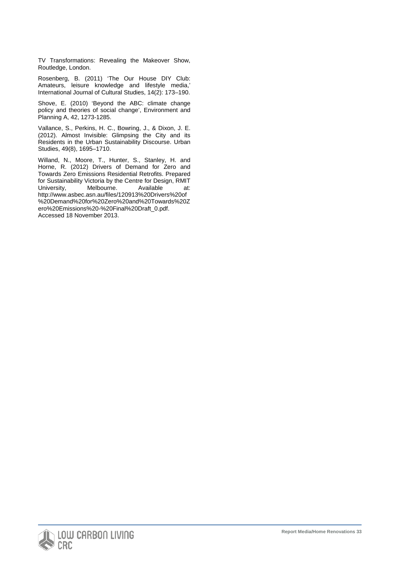TV Transformations: Revealing the Makeover Show, Routledge, London.

Rosenberg, B. (2011) 'The Our House DIY Club: Amateurs, leisure knowledge and lifestyle media,' International Journal of Cultural Studies, 14(2): 173–190.

Shove, E. (2010) 'Beyond the ABC: climate change policy and theories of social change', Environment and Planning A, 42, 1273-1285.

Vallance, S., Perkins, H. C., Bowring, J., & Dixon, J. E. (2012). Almost Invisible: Glimpsing the City and its Residents in the Urban Sustainability Discourse. Urban Studies, 49(8), 1695–1710.

Willand, N., Moore, T., Hunter, S., Stanley, H. and Horne, R. (2012) Drivers of Demand for Zero and Towards Zero Emissions Residential Retrofits. Prepared for Sustainability Victoria by the Centre for Design, RMIT University, Melbourne. Available at: [http://www.asbec.asn.au/files/120913%20Drivers%20of](http://www.asbec.asn.au/files/120913%20Drivers%20of%20Demand%20for%20Zero%20and%20Towards%20Zero%20Emissions%20-%20Final%20Draft_0.pdf) [%20Demand%20for%20Zero%20and%20Towards%20Z](http://www.asbec.asn.au/files/120913%20Drivers%20of%20Demand%20for%20Zero%20and%20Towards%20Zero%20Emissions%20-%20Final%20Draft_0.pdf) [ero%20Emissions%20-%20Final%20Draft\\_0.pdf.](http://www.asbec.asn.au/files/120913%20Drivers%20of%20Demand%20for%20Zero%20and%20Towards%20Zero%20Emissions%20-%20Final%20Draft_0.pdf) Accessed 18 November 2013.